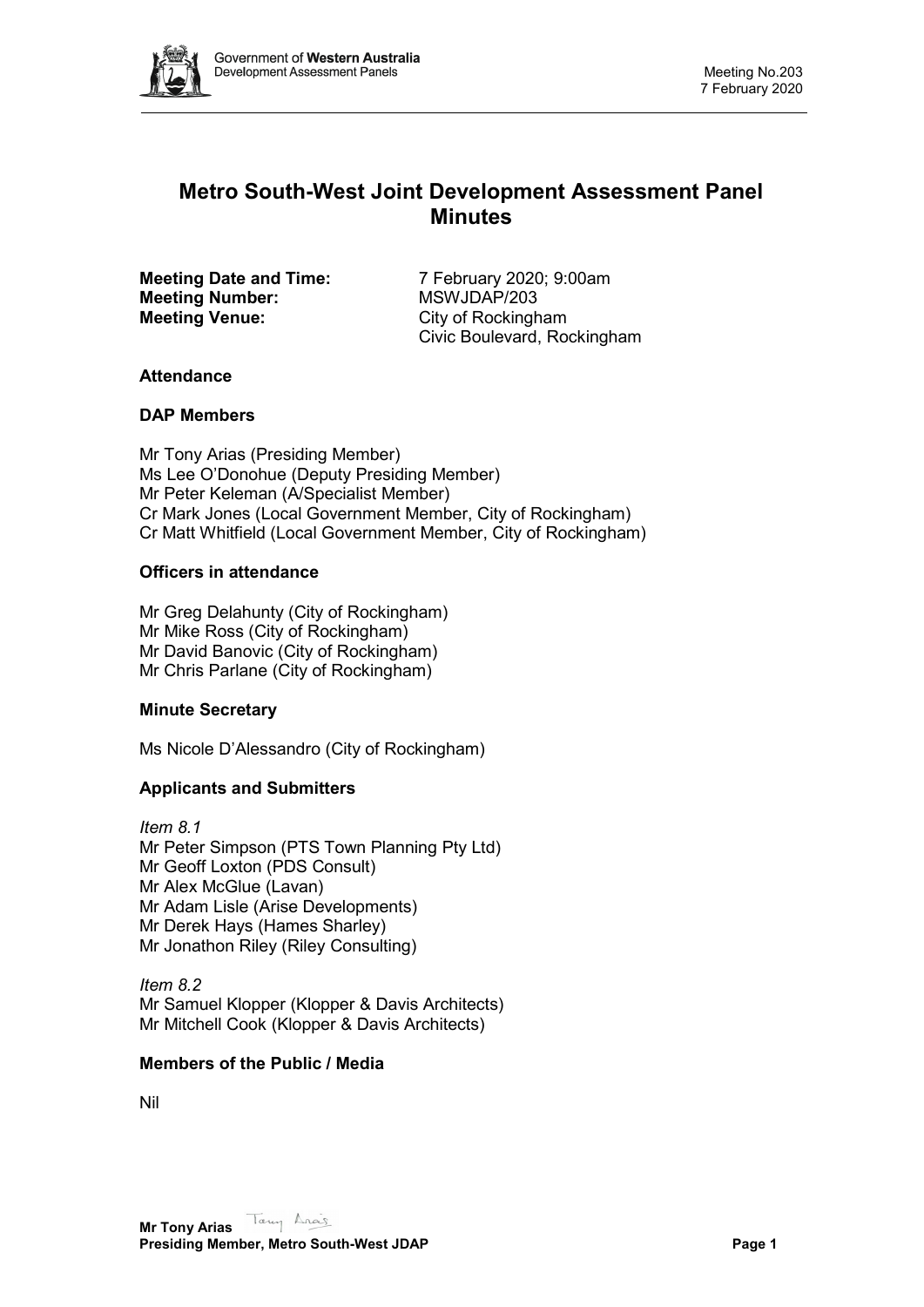

# **Metro South-West Joint Development Assessment Panel Minutes**

**Meeting Number: Meeting Venue:** City of Rockingham

**Meeting Date and Time:** 7 February 2020; 9:00am<br> **Meeting Number:** MSWJDAP/203 Civic Boulevard, Rockingham

# **Attendance**

# **DAP Members**

Mr Tony Arias (Presiding Member) Ms Lee O'Donohue (Deputy Presiding Member) Mr Peter Keleman (A/Specialist Member) Cr Mark Jones (Local Government Member, City of Rockingham) Cr Matt Whitfield (Local Government Member, City of Rockingham)

# **Officers in attendance**

Mr Greg Delahunty (City of Rockingham) Mr Mike Ross (City of Rockingham) Mr David Banovic (City of Rockingham) Mr Chris Parlane (City of Rockingham)

# **Minute Secretary**

Ms Nicole D'Alessandro (City of Rockingham)

# **Applicants and Submitters**

*Item 8.1* Mr Peter Simpson (PTS Town Planning Pty Ltd) Mr Geoff Loxton (PDS Consult) Mr Alex McGlue (Lavan) Mr Adam Lisle (Arise Developments) Mr Derek Hays (Hames Sharley) Mr Jonathon Riley (Riley Consulting)

*Item 8.2* Mr Samuel Klopper (Klopper & Davis Architects) Mr Mitchell Cook (Klopper & Davis Architects)

# **Members of the Public / Media**

Nil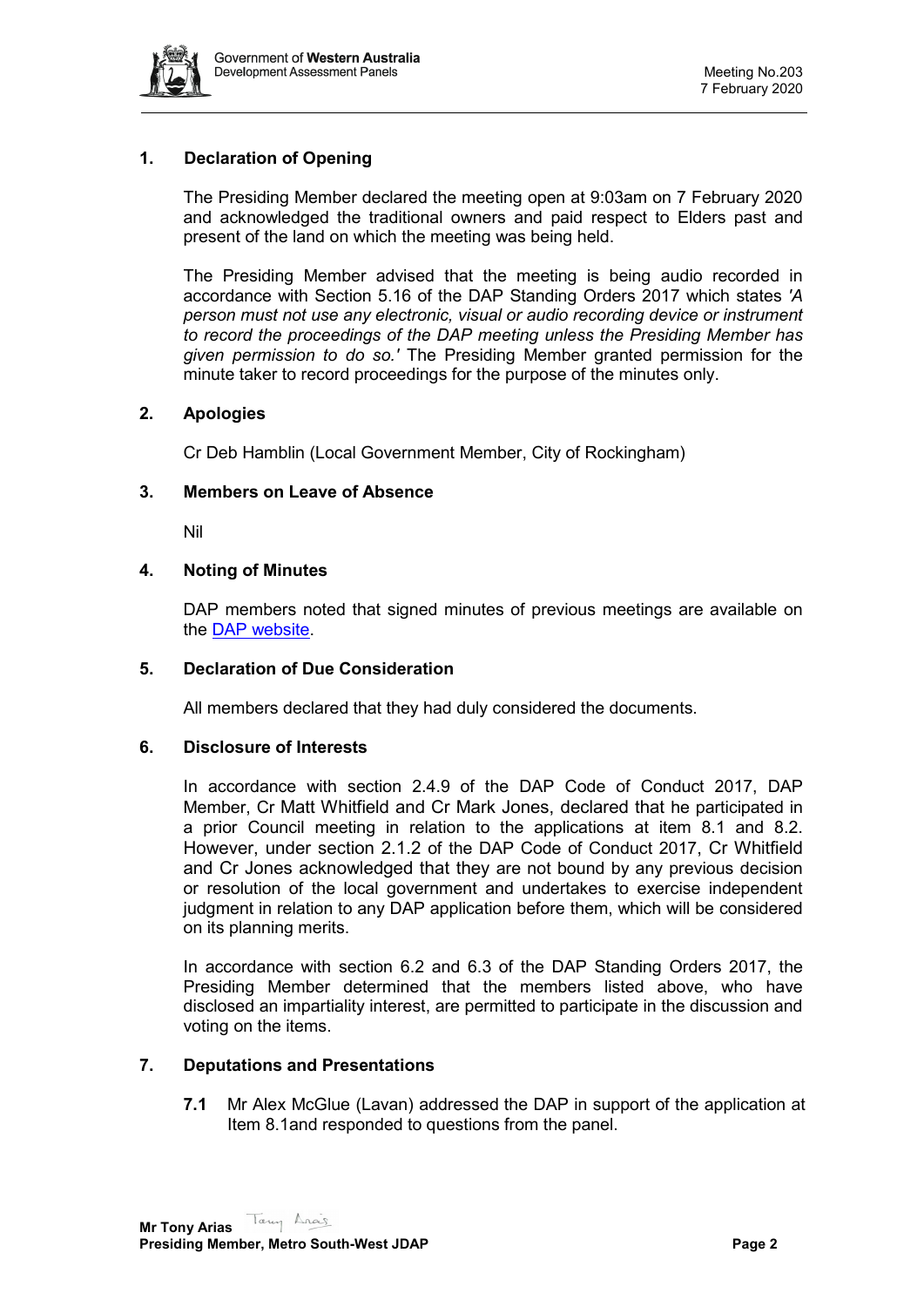

# **1. Declaration of Opening**

The Presiding Member declared the meeting open at 9:03am on 7 February 2020 and acknowledged the traditional owners and paid respect to Elders past and present of the land on which the meeting was being held.

The Presiding Member advised that the meeting is being audio recorded in accordance with Section 5.16 of the DAP Standing Orders 2017 which states *'A person must not use any electronic, visual or audio recording device or instrument to record the proceedings of the DAP meeting unless the Presiding Member has given permission to do so.'* The Presiding Member granted permission for the minute taker to record proceedings for the purpose of the minutes only.

# **2. Apologies**

Cr Deb Hamblin (Local Government Member, City of Rockingham)

### **3. Members on Leave of Absence**

Nil

### **4. Noting of Minutes**

DAP members noted that signed minutes of previous meetings are available on the [DAP website.](https://www.dplh.wa.gov.au/about/development-assessment-panels/daps-agendas-and-minutes)

### **5. Declaration of Due Consideration**

All members declared that they had duly considered the documents.

### **6. Disclosure of Interests**

In accordance with section 2.4.9 of the DAP Code of Conduct 2017, DAP Member, Cr Matt Whitfield and Cr Mark Jones, declared that he participated in a prior Council meeting in relation to the applications at item 8.1 and 8.2. However, under section 2.1.2 of the DAP Code of Conduct 2017, Cr Whitfield and Cr Jones acknowledged that they are not bound by any previous decision or resolution of the local government and undertakes to exercise independent judgment in relation to any DAP application before them, which will be considered on its planning merits.

In accordance with section 6.2 and 6.3 of the DAP Standing Orders 2017, the Presiding Member determined that the members listed above, who have disclosed an impartiality interest, are permitted to participate in the discussion and voting on the items.

### **7. Deputations and Presentations**

**7.1** Mr Alex McGlue (Lavan) addressed the DAP in support of the application at Item 8.1and responded to questions from the panel.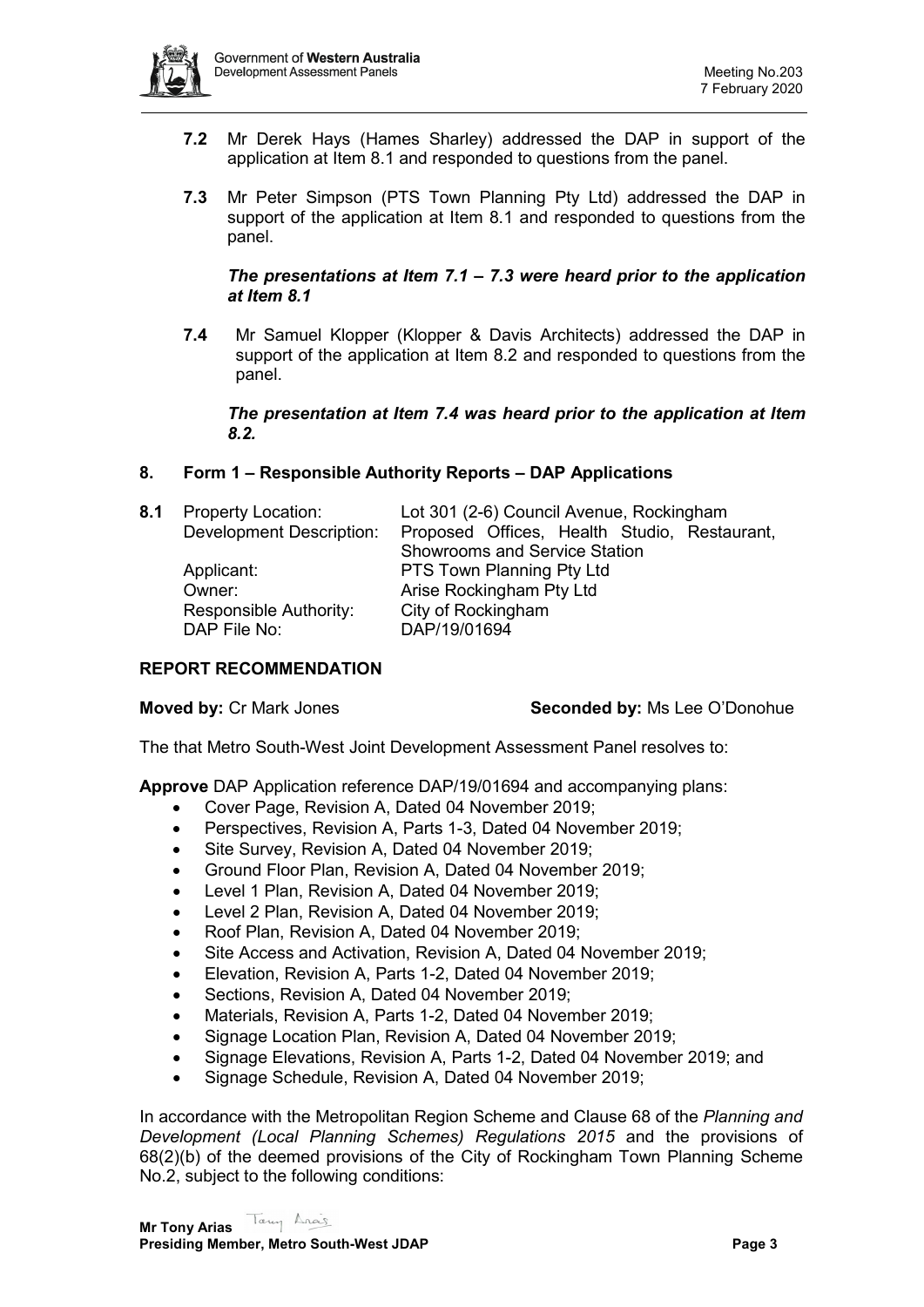

- **7.2** Mr Derek Hays (Hames Sharley) addressed the DAP in support of the application at Item 8.1 and responded to questions from the panel.
- **7.3** Mr Peter Simpson (PTS Town Planning Pty Ltd) addressed the DAP in support of the application at Item 8.1 and responded to questions from the panel.

## *The presentations at Item 7.1 – 7.3 were heard prior to the application at Item 8.1*

**7.4** Mr Samuel Klopper (Klopper & Davis Architects) addressed the DAP in support of the application at Item 8.2 and responded to questions from the panel.

### *The presentation at Item 7.4 was heard prior to the application at Item 8.2.*

# **8. Form 1 – Responsible Authority Reports – DAP Applications**

|                          | Lot 301 (2-6) Council Avenue, Rockingham     |  |  |
|--------------------------|----------------------------------------------|--|--|
| Development Description: | Proposed Offices, Health Studio, Restaurant, |  |  |
|                          | <b>Showrooms and Service Station</b>         |  |  |
| Applicant:               | PTS Town Planning Pty Ltd                    |  |  |
| Owner:                   | Arise Rockingham Pty Ltd                     |  |  |
| Responsible Authority:   | City of Rockingham                           |  |  |
| DAP File No:             | DAP/19/01694                                 |  |  |
|                          | <b>Property Location:</b>                    |  |  |

# **REPORT RECOMMENDATION**

### **Moved by:** Cr Mark Jones **Seconded by:** Ms Lee O'Donohue

The that Metro South-West Joint Development Assessment Panel resolves to:

**Approve** DAP Application reference DAP/19/01694 and accompanying plans:

- Cover Page, Revision A, Dated 04 November 2019;
- Perspectives, Revision A, Parts 1-3, Dated 04 November 2019;
- Site Survey, Revision A, Dated 04 November 2019;
- Ground Floor Plan, Revision A, Dated 04 November 2019;
- Level 1 Plan, Revision A, Dated 04 November 2019;
- Level 2 Plan, Revision A, Dated 04 November 2019;
- Roof Plan, Revision A, Dated 04 November 2019;
- Site Access and Activation, Revision A, Dated 04 November 2019;
- Elevation, Revision A, Parts 1-2, Dated 04 November 2019;
- Sections, Revision A, Dated 04 November 2019;
- Materials, Revision A, Parts 1-2, Dated 04 November 2019;
- Signage Location Plan, Revision A, Dated 04 November 2019;
- Signage Elevations, Revision A, Parts 1-2, Dated 04 November 2019; and
- Signage Schedule, Revision A, Dated 04 November 2019;

In accordance with the Metropolitan Region Scheme and Clause 68 of the *Planning and Development (Local Planning Schemes) Regulations 2015* and the provisions of 68(2)(b) of the deemed provisions of the City of Rockingham Town Planning Scheme No.2, subject to the following conditions: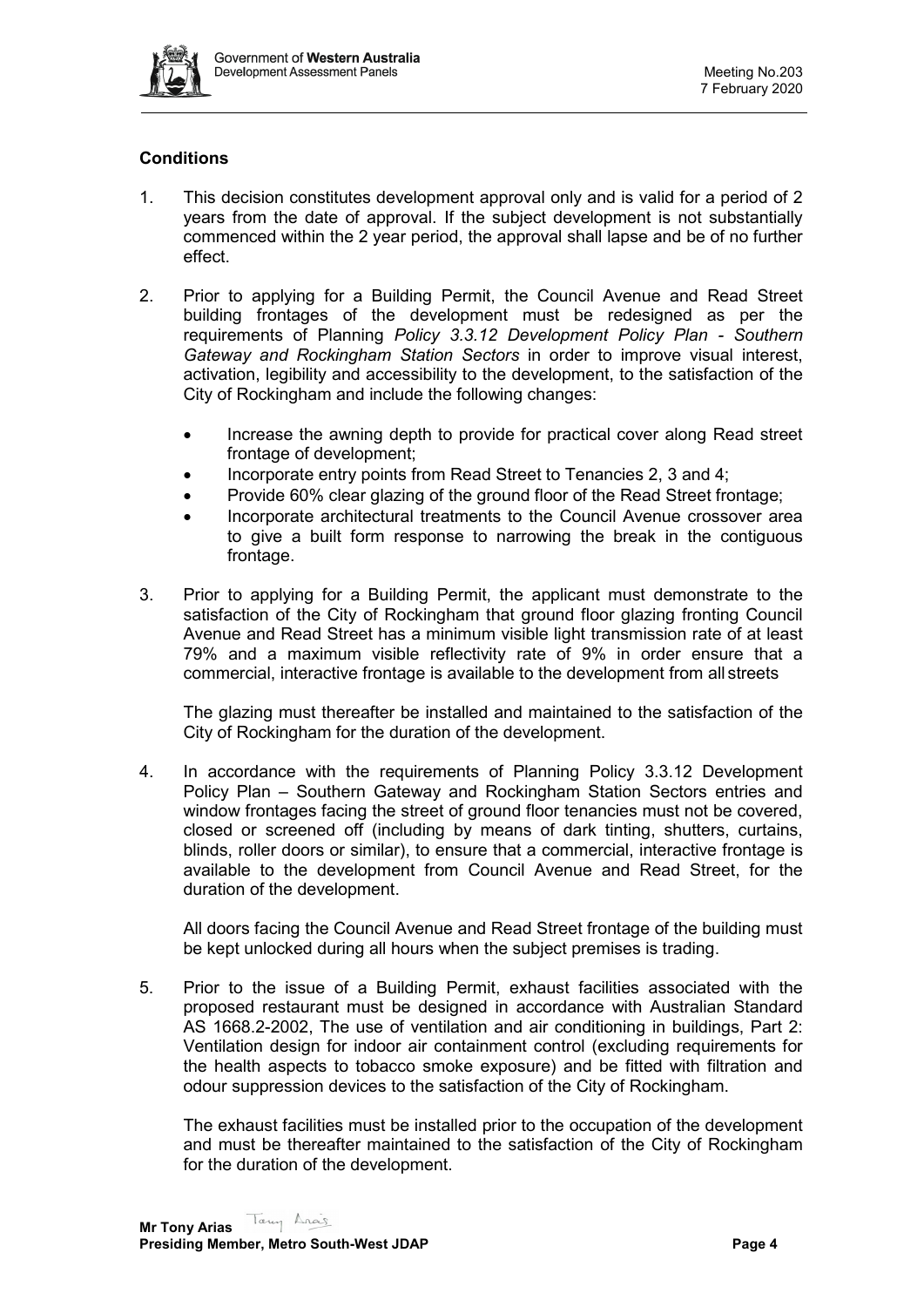

# **Conditions**

- 1. This decision constitutes development approval only and is valid for a period of 2 years from the date of approval. If the subject development is not substantially commenced within the 2 year period, the approval shall lapse and be of no further effect.
- 2. Prior to applying for a Building Permit, the Council Avenue and Read Street building frontages of the development must be redesigned as per the requirements of Planning *Policy 3.3.12 Development Policy Plan - Southern Gateway and Rockingham Station Sectors* in order to improve visual interest, activation, legibility and accessibility to the development, to the satisfaction of the City of Rockingham and include the following changes:
	- Increase the awning depth to provide for practical cover along Read street frontage of development;
	- Incorporate entry points from Read Street to Tenancies 2, 3 and 4;
	- Provide 60% clear glazing of the ground floor of the Read Street frontage;
	- Incorporate architectural treatments to the Council Avenue crossover area to give a built form response to narrowing the break in the contiguous frontage.
- 3. Prior to applying for a Building Permit, the applicant must demonstrate to the satisfaction of the City of Rockingham that ground floor glazing fronting Council Avenue and Read Street has a minimum visible light transmission rate of at least 79% and a maximum visible reflectivity rate of 9% in order ensure that a commercial, interactive frontage is available to the development from all streets

The glazing must thereafter be installed and maintained to the satisfaction of the City of Rockingham for the duration of the development.

4. In accordance with the requirements of Planning Policy 3.3.12 Development Policy Plan – Southern Gateway and Rockingham Station Sectors entries and window frontages facing the street of ground floor tenancies must not be covered, closed or screened off (including by means of dark tinting, shutters, curtains, blinds, roller doors or similar), to ensure that a commercial, interactive frontage is available to the development from Council Avenue and Read Street, for the duration of the development.

All doors facing the Council Avenue and Read Street frontage of the building must be kept unlocked during all hours when the subject premises is trading.

5. Prior to the issue of a Building Permit, exhaust facilities associated with the proposed restaurant must be designed in accordance with Australian Standard AS 1668.2-2002, The use of ventilation and air conditioning in buildings, Part 2: Ventilation design for indoor air containment control (excluding requirements for the health aspects to tobacco smoke exposure) and be fitted with filtration and odour suppression devices to the satisfaction of the City of Rockingham.

The exhaust facilities must be installed prior to the occupation of the development and must be thereafter maintained to the satisfaction of the City of Rockingham for the duration of the development.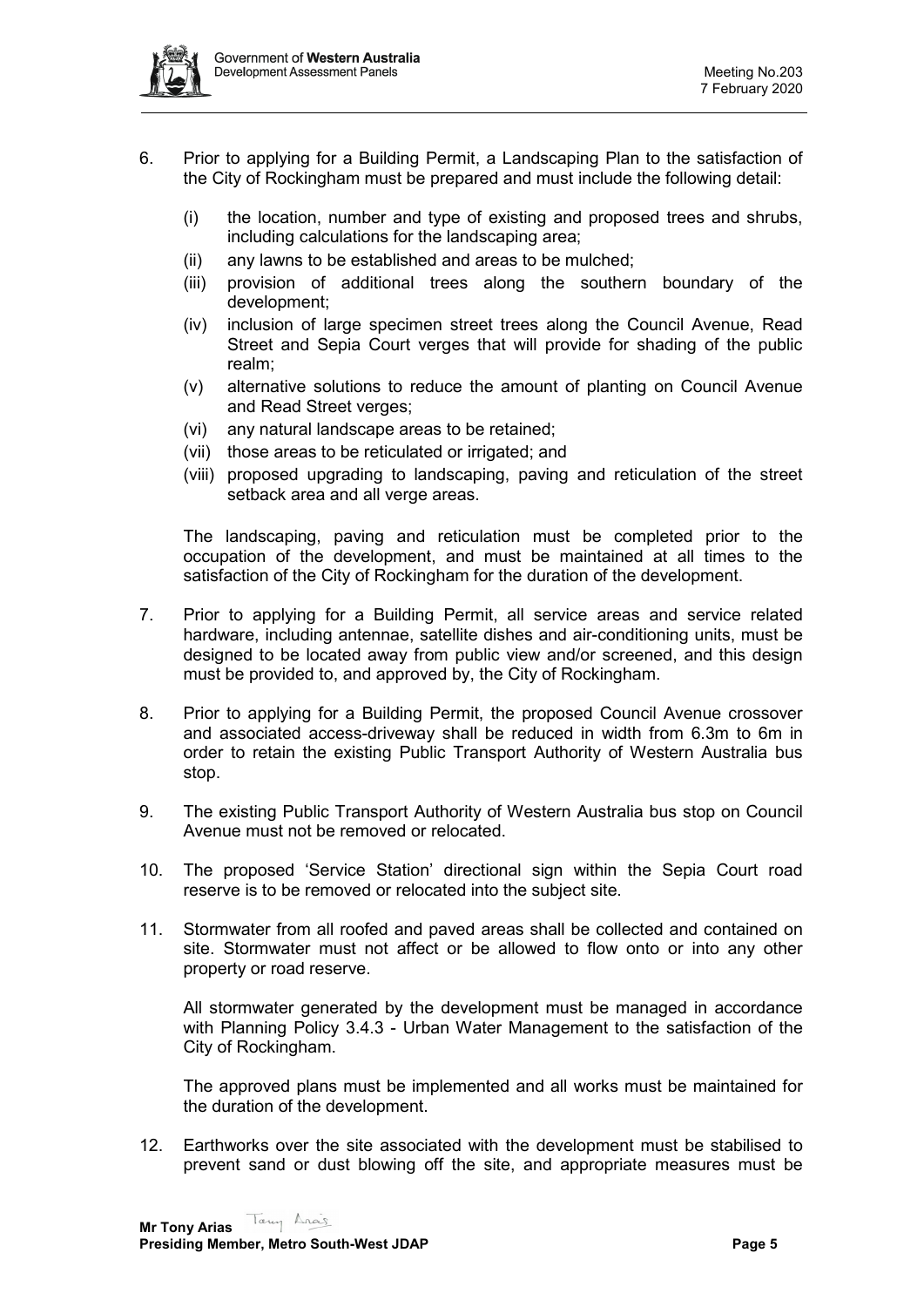

- 6. Prior to applying for a Building Permit, a Landscaping Plan to the satisfaction of the City of Rockingham must be prepared and must include the following detail:
	- (i) the location, number and type of existing and proposed trees and shrubs, including calculations for the landscaping area;
	- (ii) any lawns to be established and areas to be mulched;
	- (iii) provision of additional trees along the southern boundary of the development;
	- (iv) inclusion of large specimen street trees along the Council Avenue, Read Street and Sepia Court verges that will provide for shading of the public realm;
	- (v) alternative solutions to reduce the amount of planting on Council Avenue and Read Street verges;
	- (vi) any natural landscape areas to be retained;
	- (vii) those areas to be reticulated or irrigated; and
	- (viii) proposed upgrading to landscaping, paving and reticulation of the street setback area and all verge areas.

The landscaping, paving and reticulation must be completed prior to the occupation of the development, and must be maintained at all times to the satisfaction of the City of Rockingham for the duration of the development.

- 7. Prior to applying for a Building Permit, all service areas and service related hardware, including antennae, satellite dishes and air-conditioning units, must be designed to be located away from public view and/or screened, and this design must be provided to, and approved by, the City of Rockingham.
- 8. Prior to applying for a Building Permit, the proposed Council Avenue crossover and associated access-driveway shall be reduced in width from 6.3m to 6m in order to retain the existing Public Transport Authority of Western Australia bus stop.
- 9. The existing Public Transport Authority of Western Australia bus stop on Council Avenue must not be removed or relocated.
- 10. The proposed 'Service Station' directional sign within the Sepia Court road reserve is to be removed or relocated into the subject site.
- 11. Stormwater from all roofed and paved areas shall be collected and contained on site. Stormwater must not affect or be allowed to flow onto or into any other property or road reserve.

All stormwater generated by the development must be managed in accordance with Planning Policy 3.4.3 - Urban Water Management to the satisfaction of the City of Rockingham.

The approved plans must be implemented and all works must be maintained for the duration of the development.

12. Earthworks over the site associated with the development must be stabilised to prevent sand or dust blowing off the site, and appropriate measures must be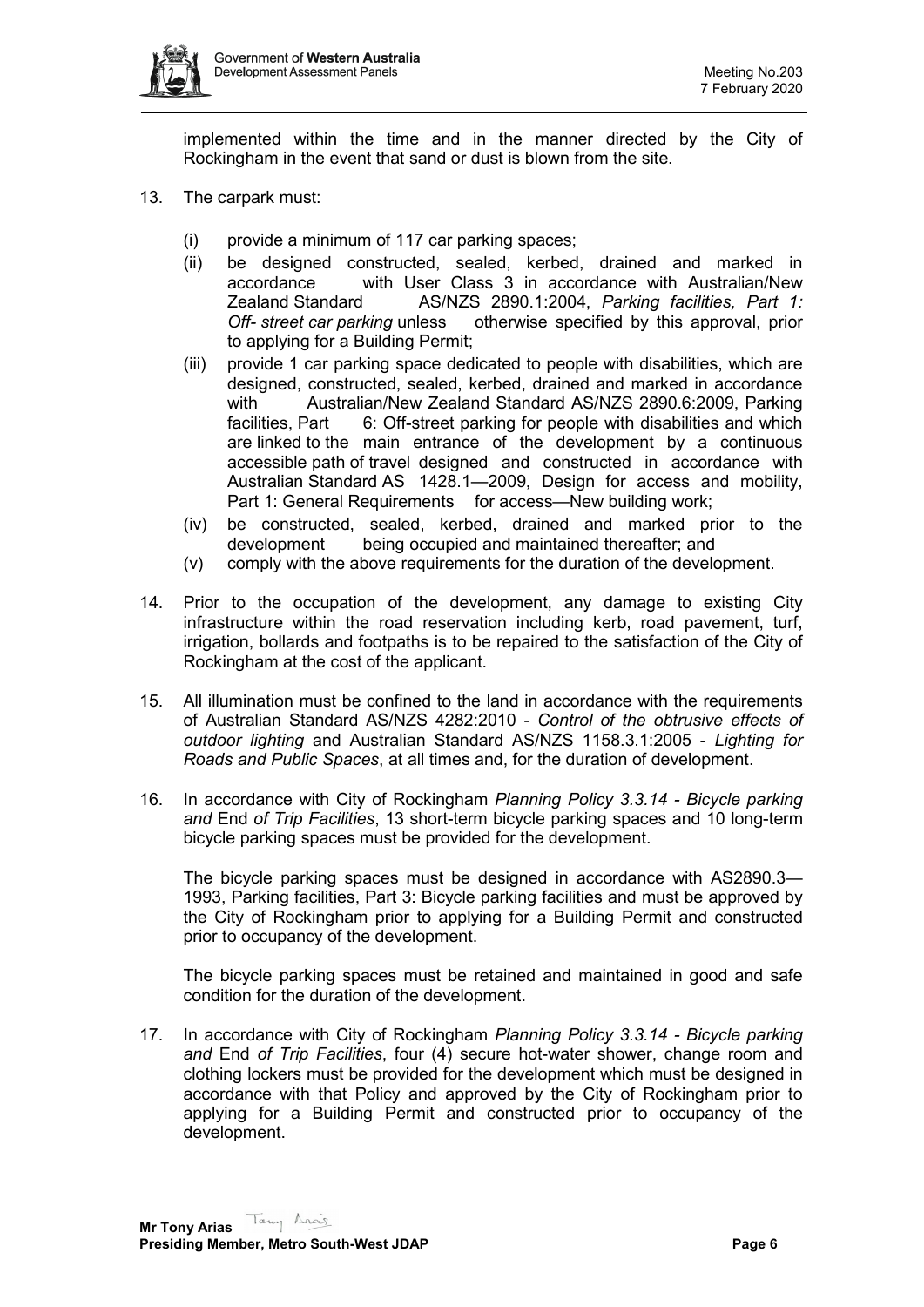

implemented within the time and in the manner directed by the City of Rockingham in the event that sand or dust is blown from the site.

- 13. The carpark must:
	- (i) provide a minimum of 117 car parking spaces;
	- (ii) be designed constructed, sealed, kerbed, drained and marked in accordance with User Class 3 in accordance with Australian/New Zealand Standard AS/NZS 2890.1:2004, *Parking facilities, Part 1: Off- street car parking* unless otherwise specified by this approval, prior to applying for a Building Permit;
	- (iii) provide 1 car parking space dedicated to people with disabilities, which are designed, constructed, sealed, kerbed, drained and marked in accordance with Australian/New Zealand Standard AS/NZS 2890.6:2009, Parking facilities, Part 6: Off-street parking for people with disabilities and which are linked to the main entrance of the development by a continuous accessible path of travel designed and constructed in accordance with Australian Standard AS 1428.1—2009, Design for access and mobility, Part 1: General Requirements for access—New building work;
	- (iv) be constructed, sealed, kerbed, drained and marked prior to the being occupied and maintained thereafter; and
	- (v) comply with the above requirements for the duration of the development.
- 14. Prior to the occupation of the development, any damage to existing City infrastructure within the road reservation including kerb, road pavement, turf, irrigation, bollards and footpaths is to be repaired to the satisfaction of the City of Rockingham at the cost of the applicant.
- 15. All illumination must be confined to the land in accordance with the requirements of Australian Standard AS/NZS 4282:2010 - *Control of the obtrusive effects of outdoor lighting* and Australian Standard AS/NZS 1158.3.1:2005 - *Lighting for Roads and Public Spaces*, at all times and, for the duration of development.
- 16. In accordance with City of Rockingham *Planning Policy 3.3.14 - Bicycle parking and* End *of Trip Facilities*, 13 short-term bicycle parking spaces and 10 long-term bicycle parking spaces must be provided for the development.

The bicycle parking spaces must be designed in accordance with AS2890.3— 1993, Parking facilities, Part 3: Bicycle parking facilities and must be approved by the City of Rockingham prior to applying for a Building Permit and constructed prior to occupancy of the development.

The bicycle parking spaces must be retained and maintained in good and safe condition for the duration of the development.

17. In accordance with City of Rockingham *Planning Policy 3.3.14 - Bicycle parking and* End *of Trip Facilities*, four (4) secure hot-water shower, change room and clothing lockers must be provided for the development which must be designed in accordance with that Policy and approved by the City of Rockingham prior to applying for a Building Permit and constructed prior to occupancy of the development.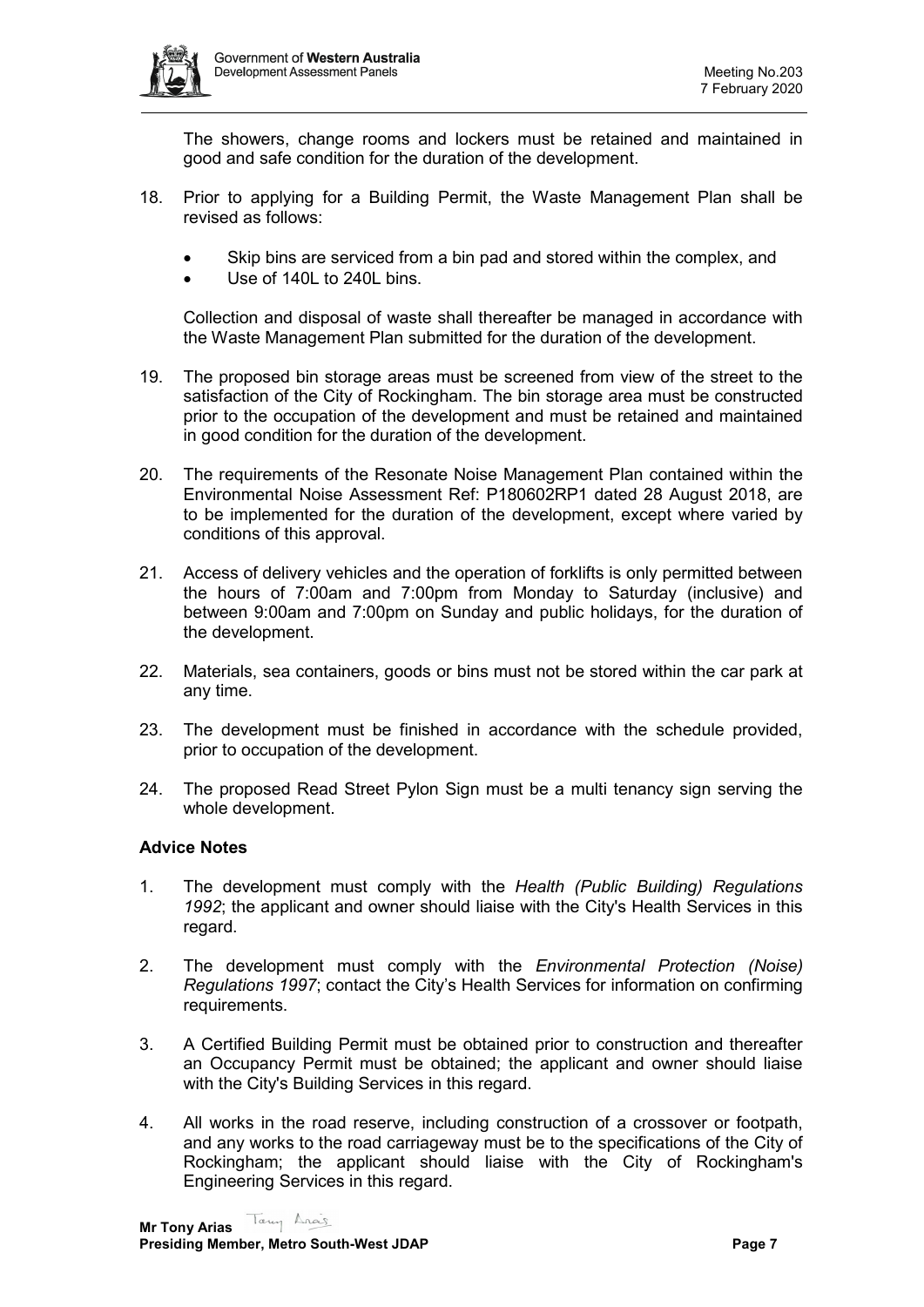

The showers, change rooms and lockers must be retained and maintained in good and safe condition for the duration of the development.

- 18. Prior to applying for a Building Permit, the Waste Management Plan shall be revised as follows:
	- Skip bins are serviced from a bin pad and stored within the complex, and
	- Use of 140L to 240L bins.

Collection and disposal of waste shall thereafter be managed in accordance with the Waste Management Plan submitted for the duration of the development.

- 19. The proposed bin storage areas must be screened from view of the street to the satisfaction of the City of Rockingham. The bin storage area must be constructed prior to the occupation of the development and must be retained and maintained in good condition for the duration of the development.
- 20. The requirements of the Resonate Noise Management Plan contained within the Environmental Noise Assessment Ref: P180602RP1 dated 28 August 2018, are to be implemented for the duration of the development, except where varied by conditions of this approval.
- 21. Access of delivery vehicles and the operation of forklifts is only permitted between the hours of 7:00am and 7:00pm from Monday to Saturday (inclusive) and between 9:00am and 7:00pm on Sunday and public holidays, for the duration of the development.
- 22. Materials, sea containers, goods or bins must not be stored within the car park at any time.
- 23. The development must be finished in accordance with the schedule provided, prior to occupation of the development.
- 24. The proposed Read Street Pylon Sign must be a multi tenancy sign serving the whole development.

### **Advice Notes**

- 1. The development must comply with the *Health (Public Building) Regulations 1992*; the applicant and owner should liaise with the City's Health Services in this regard.
- 2. The development must comply with the *Environmental Protection (Noise) Regulations 1997*; contact the City's Health Services for information on confirming requirements.
- 3. A Certified Building Permit must be obtained prior to construction and thereafter an Occupancy Permit must be obtained; the applicant and owner should liaise with the City's Building Services in this regard.
- 4. All works in the road reserve, including construction of a crossover or footpath, and any works to the road carriageway must be to the specifications of the City of Rockingham; the applicant should liaise with the City of Rockingham's Engineering Services in this regard.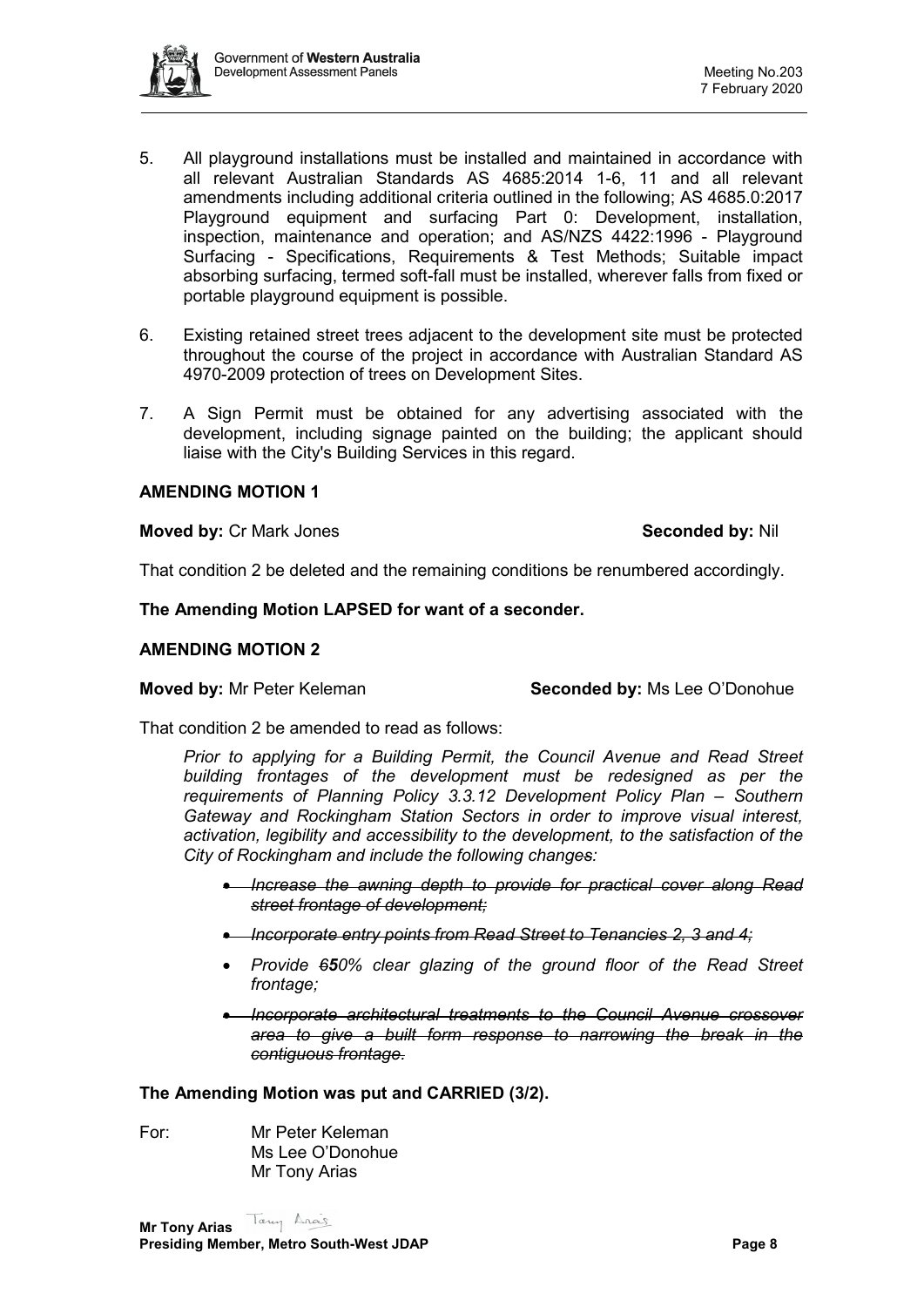

- 5. All playground installations must be installed and maintained in accordance with all relevant Australian Standards AS 4685:2014 1-6, 11 and all relevant amendments including additional criteria outlined in the following; AS 4685.0:2017 Playground equipment and surfacing Part 0: Development, installation, inspection, maintenance and operation; and AS/NZS 4422:1996 - Playground Surfacing - Specifications, Requirements & Test Methods; Suitable impact absorbing surfacing, termed soft-fall must be installed, wherever falls from fixed or portable playground equipment is possible.
- 6. Existing retained street trees adjacent to the development site must be protected throughout the course of the project in accordance with Australian Standard AS 4970-2009 protection of trees on Development Sites.
- 7. A Sign Permit must be obtained for any advertising associated with the development, including signage painted on the building; the applicant should liaise with the City's Building Services in this regard.

### **AMENDING MOTION 1**

### **Moved by:** Cr Mark Jones **Seconded by:** Nil

That condition 2 be deleted and the remaining conditions be renumbered accordingly.

### **The Amending Motion LAPSED for want of a seconder.**

### **AMENDING MOTION 2**

**Moved by:** Mr Peter Keleman **Seconded by:** Ms Lee O'Donohue

That condition 2 be amended to read as follows:

*Prior to applying for a Building Permit, the Council Avenue and Read Street building frontages of the development must be redesigned as per the requirements of Planning Policy 3.3.12 Development Policy Plan – Southern Gateway and Rockingham Station Sectors in order to improve visual interest, activation, legibility and accessibility to the development, to the satisfaction of the City of Rockingham and include the following changes:*

- *Increase the awning depth to provide for practical cover along Read street frontage of development;*
- *Incorporate entry points from Read Street to Tenancies 2, 3 and 4;*
- *Provide 650% clear glazing of the ground floor of the Read Street frontage;*
- *Incorporate architectural treatments to the Council Avenue crossover area to give a built form response to narrowing the break in the contiguous frontage.*

**The Amending Motion was put and CARRIED (3/2).**

For: Mr Peter Keleman Ms Lee O'Donohue Mr Tony Arias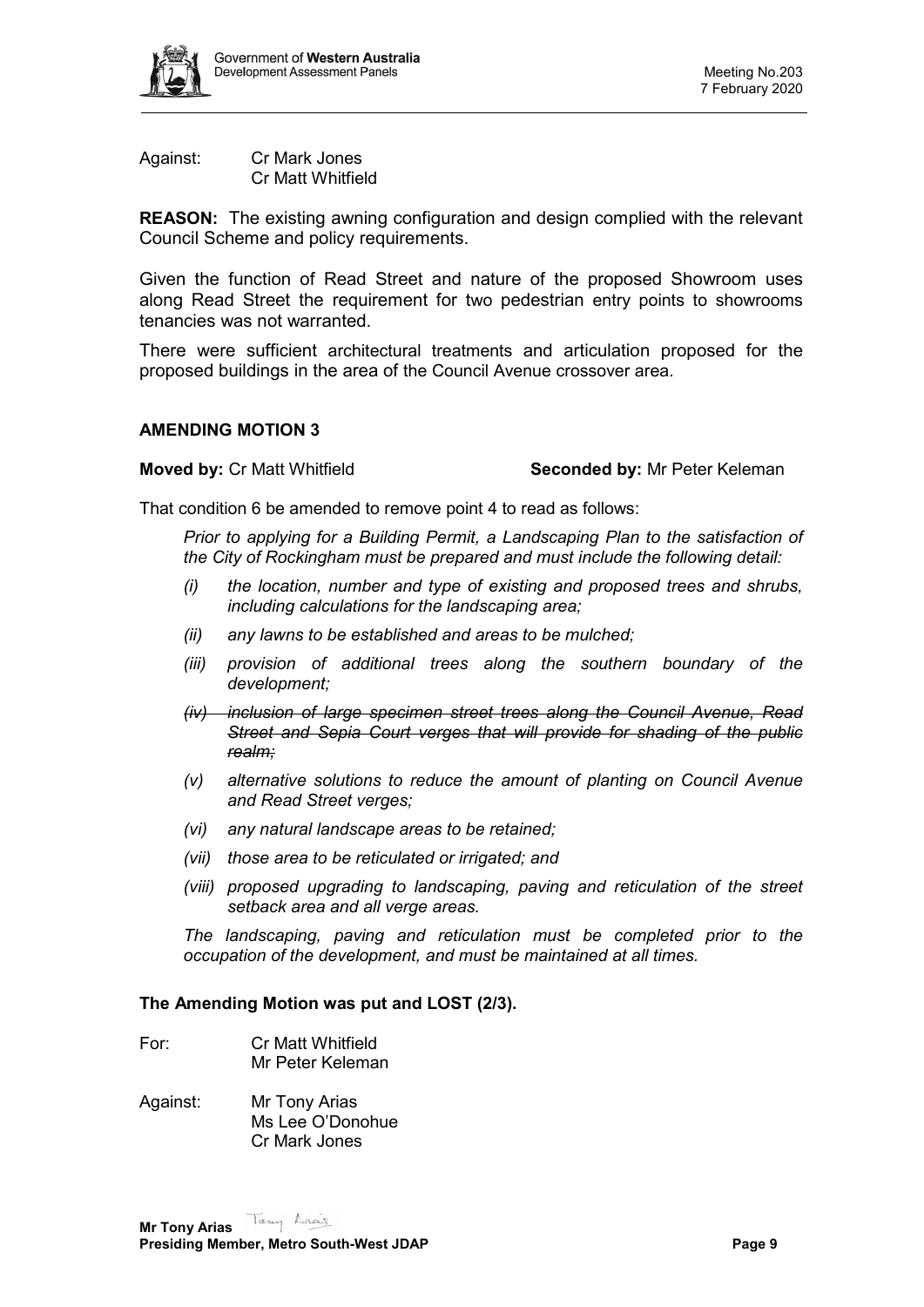

Against: Cr Mark Jones Cr Matt Whitfield

**REASON:** The existing awning configuration and design complied with the relevant Council Scheme and policy requirements.

Given the function of Read Street and nature of the proposed Showroom uses along Read Street the requirement for two pedestrian entry points to showrooms tenancies was not warranted.

There were sufficient architectural treatments and articulation proposed for the proposed buildings in the area of the Council Avenue crossover area.

### **AMENDING MOTION 3**

**Moved by:** Cr Matt Whitfield **Seconded by:** Mr Peter Keleman

That condition 6 be amended to remove point 4 to read as follows:

*Prior to applying for a Building Permit, a Landscaping Plan to the satisfaction of the City of Rockingham must be prepared and must include the following detail:*

- *(i) the location, number and type of existing and proposed trees and shrubs, including calculations for the landscaping area;*
- *(ii) any lawns to be established and areas to be mulched;*
- *(iii) provision of additional trees along the southern boundary of the development;*
- *(iv) inclusion of large specimen street trees along the Council Avenue, Read Street and Sepia Court verges that will provide for shading of the public realm;*
- *(v) alternative solutions to reduce the amount of planting on Council Avenue and Read Street verges;*
- *(vi) any natural landscape areas to be retained;*
- *(vii) those area to be reticulated or irrigated; and*
- *(viii) proposed upgrading to landscaping, paving and reticulation of the street setback area and all verge areas.*

*The landscaping, paving and reticulation must be completed prior to the occupation of the development, and must be maintained at all times.*

### **The Amending Motion was put and LOST (2/3).**

- For: Cr Matt Whitfield Mr Peter Keleman
- Against: Mr Tony Arias Ms Lee O'Donohue Cr Mark Jones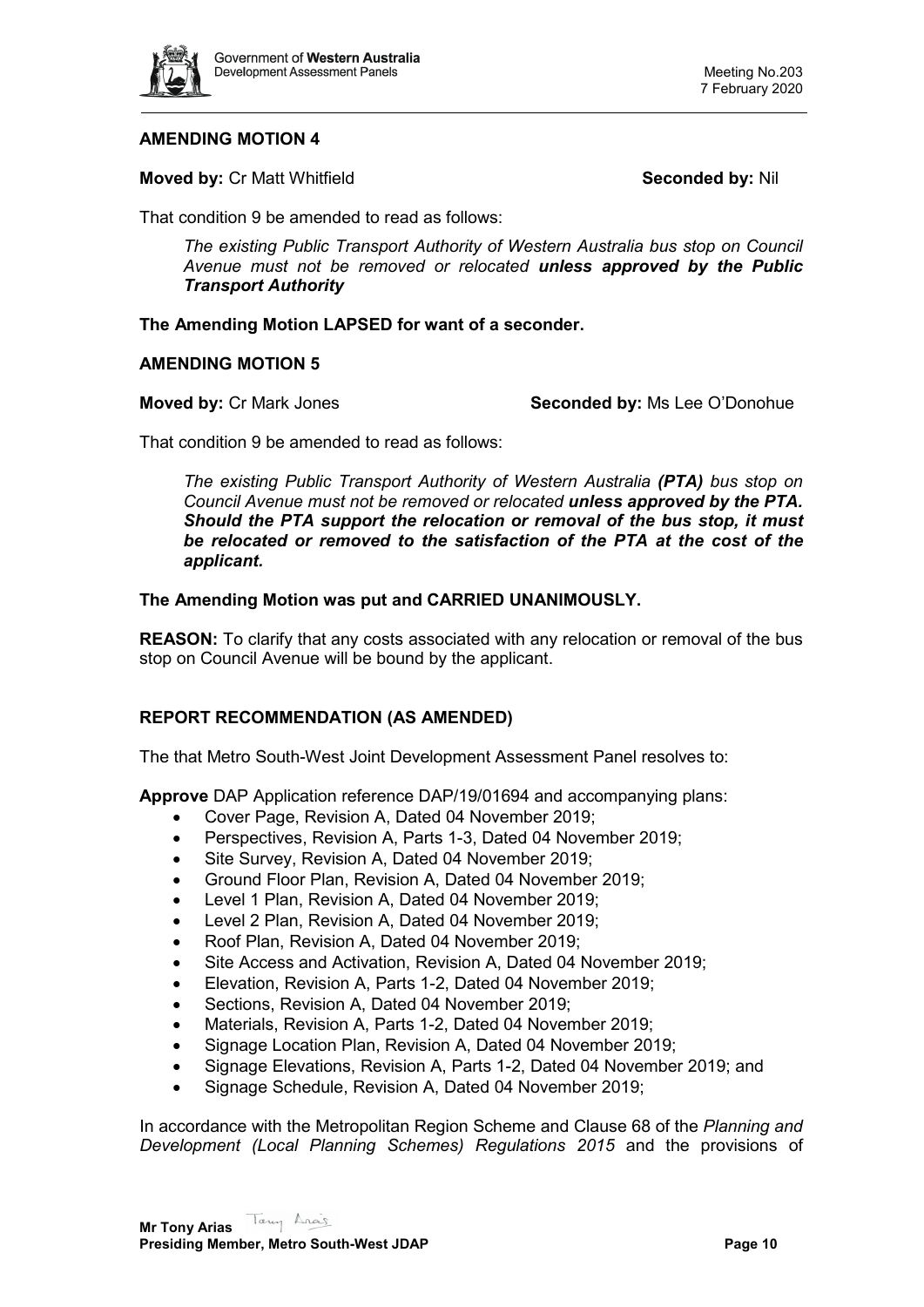

# **AMENDING MOTION 4**

**Moved by: Cr Matt Whitfield <b>Seconded by: Nill** Seconded by: Nil

That condition 9 be amended to read as follows:

*The existing Public Transport Authority of Western Australia bus stop on Council Avenue must not be removed or relocated unless approved by the Public Transport Authority*

**The Amending Motion LAPSED for want of a seconder.**

# **AMENDING MOTION 5**

**Moved by:** Cr Mark Jones **Seconded by:** Ms Lee O'Donohue

That condition 9 be amended to read as follows:

*The existing Public Transport Authority of Western Australia (PTA) bus stop on Council Avenue must not be removed or relocated unless approved by the PTA. Should the PTA support the relocation or removal of the bus stop, it must be relocated or removed to the satisfaction of the PTA at the cost of the applicant.*

# **The Amending Motion was put and CARRIED UNANIMOUSLY.**

**REASON:** To clarify that any costs associated with any relocation or removal of the bus stop on Council Avenue will be bound by the applicant.

# **REPORT RECOMMENDATION (AS AMENDED)**

The that Metro South-West Joint Development Assessment Panel resolves to:

**Approve** DAP Application reference DAP/19/01694 and accompanying plans:

- Cover Page, Revision A, Dated 04 November 2019;
- Perspectives, Revision A, Parts 1-3, Dated 04 November 2019;
- Site Survey, Revision A, Dated 04 November 2019;
- Ground Floor Plan, Revision A, Dated 04 November 2019;
- Level 1 Plan, Revision A, Dated 04 November 2019;
- Level 2 Plan, Revision A, Dated 04 November 2019;
- Roof Plan, Revision A, Dated 04 November 2019;
- Site Access and Activation, Revision A, Dated 04 November 2019;
- Elevation, Revision A, Parts 1-2, Dated 04 November 2019;
- Sections, Revision A, Dated 04 November 2019;
- Materials, Revision A, Parts 1-2, Dated 04 November 2019;
- Signage Location Plan, Revision A, Dated 04 November 2019;
- Signage Elevations, Revision A, Parts 1-2, Dated 04 November 2019; and
- Signage Schedule, Revision A, Dated 04 November 2019;

In accordance with the Metropolitan Region Scheme and Clause 68 of the *Planning and Development (Local Planning Schemes) Regulations 2015* and the provisions of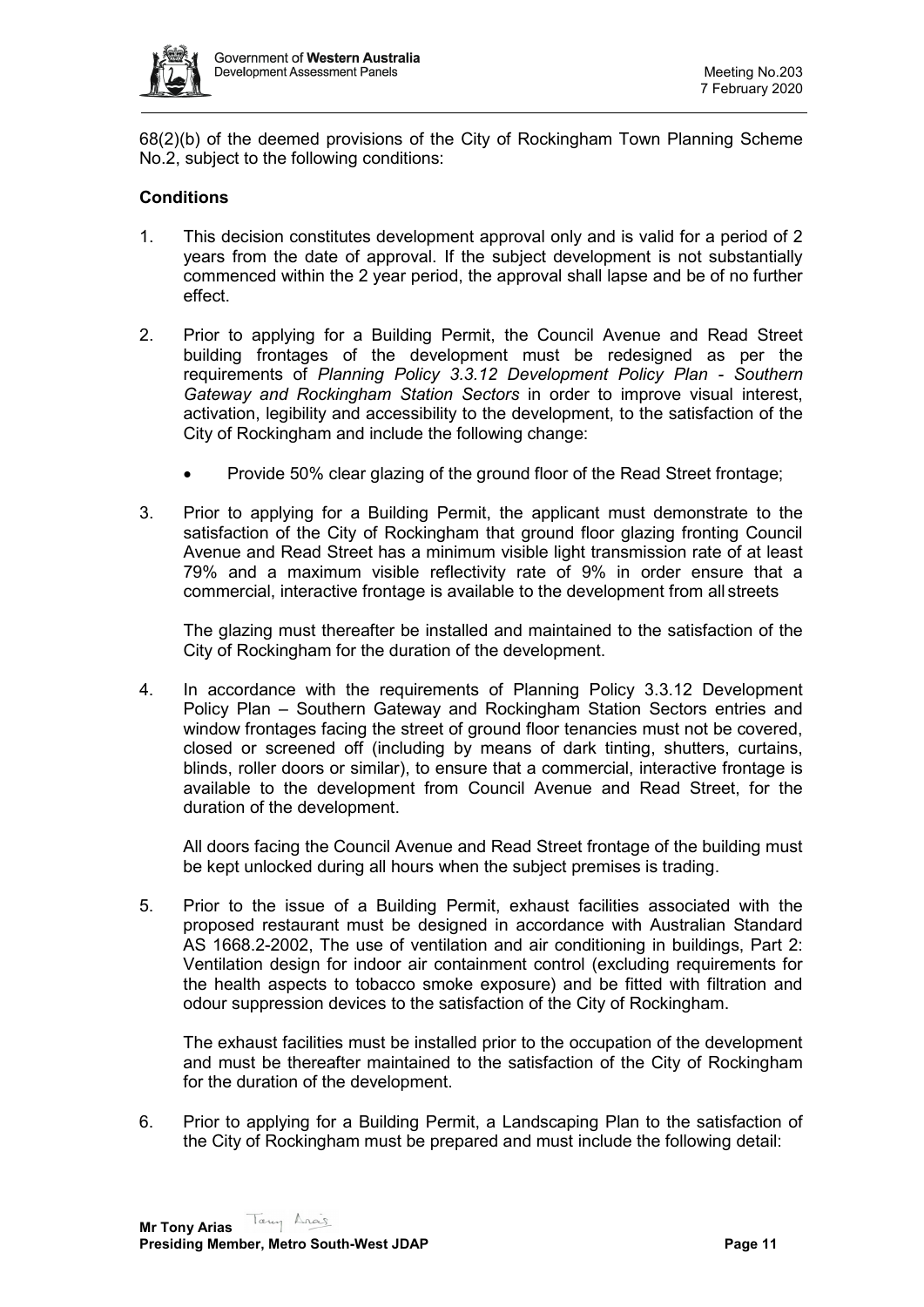

68(2)(b) of the deemed provisions of the City of Rockingham Town Planning Scheme No.2, subject to the following conditions:

# **Conditions**

- 1. This decision constitutes development approval only and is valid for a period of 2 years from the date of approval. If the subject development is not substantially commenced within the 2 year period, the approval shall lapse and be of no further effect.
- 2. Prior to applying for a Building Permit, the Council Avenue and Read Street building frontages of the development must be redesigned as per the requirements of *Planning Policy 3.3.12 Development Policy Plan - Southern Gateway and Rockingham Station Sectors* in order to improve visual interest, activation, legibility and accessibility to the development, to the satisfaction of the City of Rockingham and include the following change:
	- Provide 50% clear glazing of the ground floor of the Read Street frontage;
- 3. Prior to applying for a Building Permit, the applicant must demonstrate to the satisfaction of the City of Rockingham that ground floor glazing fronting Council Avenue and Read Street has a minimum visible light transmission rate of at least 79% and a maximum visible reflectivity rate of 9% in order ensure that a commercial, interactive frontage is available to the development from all streets

The glazing must thereafter be installed and maintained to the satisfaction of the City of Rockingham for the duration of the development.

4. In accordance with the requirements of Planning Policy 3.3.12 Development Policy Plan – Southern Gateway and Rockingham Station Sectors entries and window frontages facing the street of ground floor tenancies must not be covered, closed or screened off (including by means of dark tinting, shutters, curtains, blinds, roller doors or similar), to ensure that a commercial, interactive frontage is available to the development from Council Avenue and Read Street, for the duration of the development.

All doors facing the Council Avenue and Read Street frontage of the building must be kept unlocked during all hours when the subject premises is trading.

5. Prior to the issue of a Building Permit, exhaust facilities associated with the proposed restaurant must be designed in accordance with Australian Standard AS 1668.2-2002, The use of ventilation and air conditioning in buildings, Part 2: Ventilation design for indoor air containment control (excluding requirements for the health aspects to tobacco smoke exposure) and be fitted with filtration and odour suppression devices to the satisfaction of the City of Rockingham.

The exhaust facilities must be installed prior to the occupation of the development and must be thereafter maintained to the satisfaction of the City of Rockingham for the duration of the development.

6. Prior to applying for a Building Permit, a Landscaping Plan to the satisfaction of the City of Rockingham must be prepared and must include the following detail: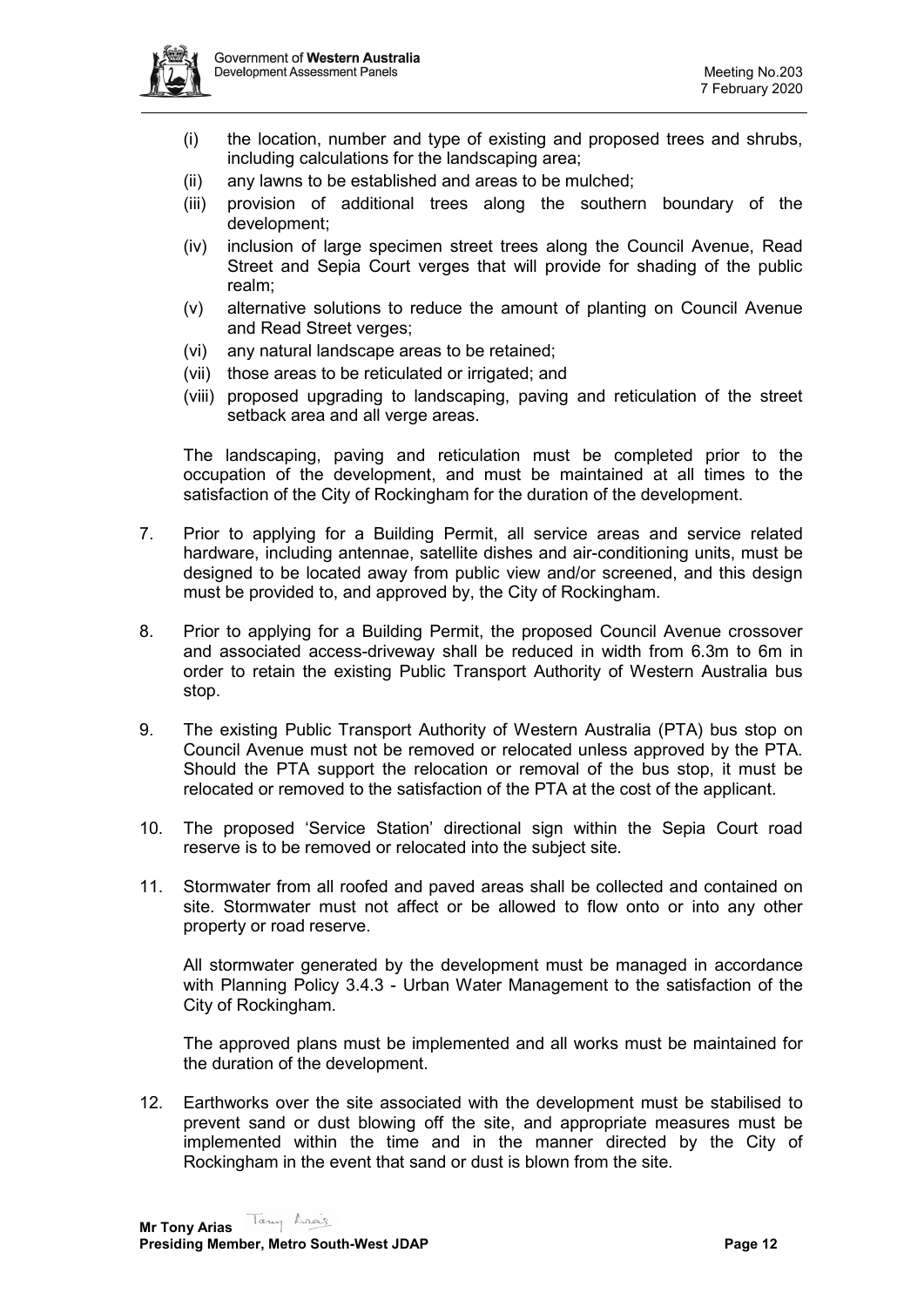

- (i) the location, number and type of existing and proposed trees and shrubs, including calculations for the landscaping area;
- (ii) any lawns to be established and areas to be mulched;
- (iii) provision of additional trees along the southern boundary of the development;
- (iv) inclusion of large specimen street trees along the Council Avenue, Read Street and Sepia Court verges that will provide for shading of the public realm;
- (v) alternative solutions to reduce the amount of planting on Council Avenue and Read Street verges;
- (vi) any natural landscape areas to be retained;
- (vii) those areas to be reticulated or irrigated; and
- (viii) proposed upgrading to landscaping, paving and reticulation of the street setback area and all verge areas.

The landscaping, paving and reticulation must be completed prior to the occupation of the development, and must be maintained at all times to the satisfaction of the City of Rockingham for the duration of the development.

- 7. Prior to applying for a Building Permit, all service areas and service related hardware, including antennae, satellite dishes and air-conditioning units, must be designed to be located away from public view and/or screened, and this design must be provided to, and approved by, the City of Rockingham.
- 8. Prior to applying for a Building Permit, the proposed Council Avenue crossover and associated access-driveway shall be reduced in width from 6.3m to 6m in order to retain the existing Public Transport Authority of Western Australia bus stop.
- 9. The existing Public Transport Authority of Western Australia (PTA) bus stop on Council Avenue must not be removed or relocated unless approved by the PTA. Should the PTA support the relocation or removal of the bus stop, it must be relocated or removed to the satisfaction of the PTA at the cost of the applicant.
- 10. The proposed 'Service Station' directional sign within the Sepia Court road reserve is to be removed or relocated into the subject site.
- 11. Stormwater from all roofed and paved areas shall be collected and contained on site. Stormwater must not affect or be allowed to flow onto or into any other property or road reserve.

All stormwater generated by the development must be managed in accordance with Planning Policy 3.4.3 - Urban Water Management to the satisfaction of the City of Rockingham.

The approved plans must be implemented and all works must be maintained for the duration of the development.

12. Earthworks over the site associated with the development must be stabilised to prevent sand or dust blowing off the site, and appropriate measures must be implemented within the time and in the manner directed by the City of Rockingham in the event that sand or dust is blown from the site.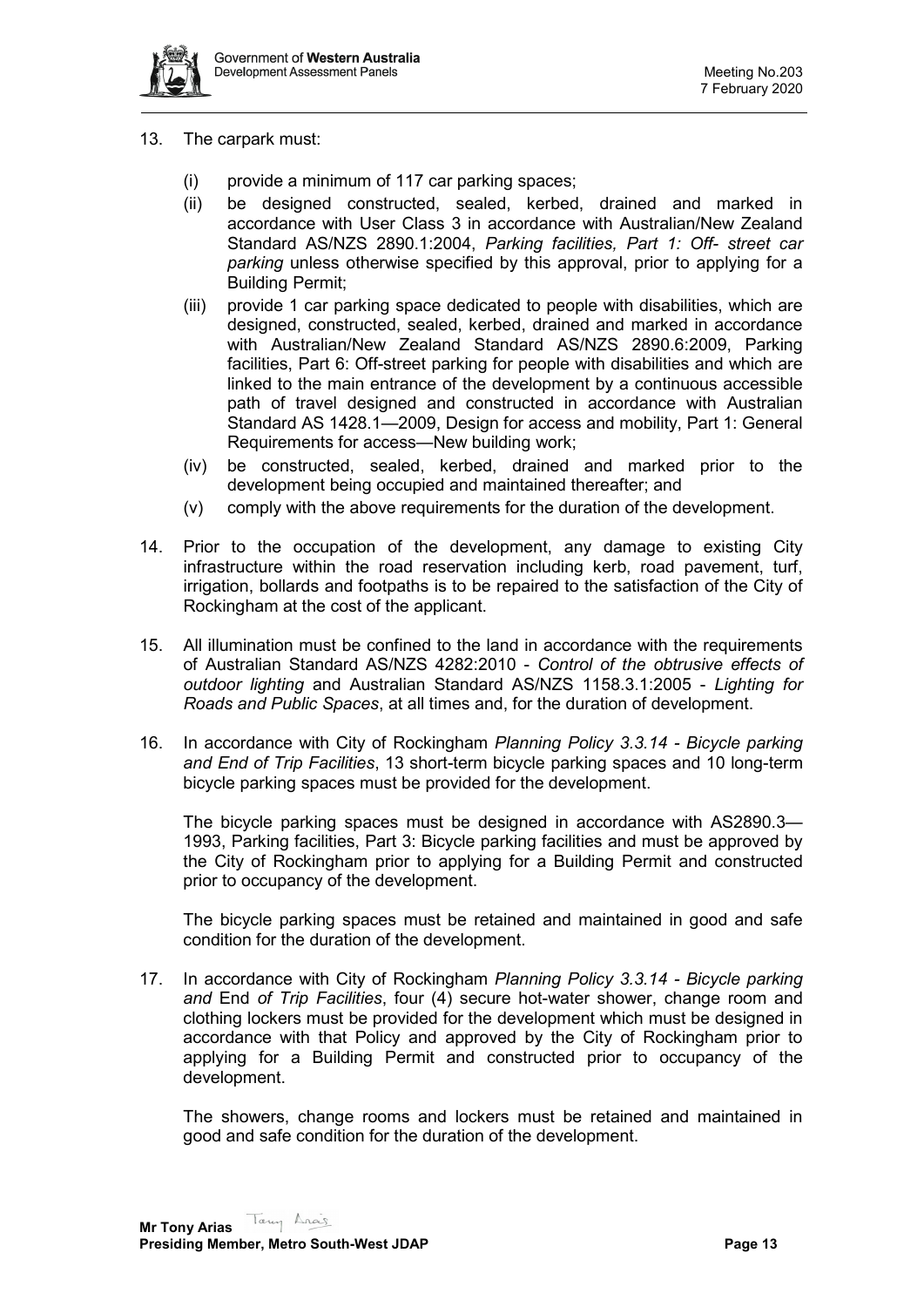

- 13. The carpark must:
	- (i) provide a minimum of 117 car parking spaces;
	- (ii) be designed constructed, sealed, kerbed, drained and marked in accordance with User Class 3 in accordance with Australian/New Zealand Standard AS/NZS 2890.1:2004, *Parking facilities, Part 1: Off- street car parking* unless otherwise specified by this approval, prior to applying for a Building Permit;
	- (iii) provide 1 car parking space dedicated to people with disabilities, which are designed, constructed, sealed, kerbed, drained and marked in accordance with Australian/New Zealand Standard AS/NZS 2890.6:2009, Parking facilities, Part 6: Off-street parking for people with disabilities and which are linked to the main entrance of the development by a continuous accessible path of travel designed and constructed in accordance with Australian Standard AS 1428.1—2009, Design for access and mobility, Part 1: General Requirements for access—New building work;
	- (iv) be constructed, sealed, kerbed, drained and marked prior to the development being occupied and maintained thereafter; and
	- (v) comply with the above requirements for the duration of the development.
- 14. Prior to the occupation of the development, any damage to existing City infrastructure within the road reservation including kerb, road pavement, turf, irrigation, bollards and footpaths is to be repaired to the satisfaction of the City of Rockingham at the cost of the applicant.
- 15. All illumination must be confined to the land in accordance with the requirements of Australian Standard AS/NZS 4282:2010 - *Control of the obtrusive effects of outdoor lighting* and Australian Standard AS/NZS 1158.3.1:2005 - *Lighting for Roads and Public Spaces*, at all times and, for the duration of development.
- 16. In accordance with City of Rockingham *Planning Policy 3.3.14 - Bicycle parking and End of Trip Facilities*, 13 short-term bicycle parking spaces and 10 long-term bicycle parking spaces must be provided for the development.

The bicycle parking spaces must be designed in accordance with AS2890.3— 1993, Parking facilities, Part 3: Bicycle parking facilities and must be approved by the City of Rockingham prior to applying for a Building Permit and constructed prior to occupancy of the development.

The bicycle parking spaces must be retained and maintained in good and safe condition for the duration of the development.

17. In accordance with City of Rockingham *Planning Policy 3.3.14 - Bicycle parking and* End *of Trip Facilities*, four (4) secure hot-water shower, change room and clothing lockers must be provided for the development which must be designed in accordance with that Policy and approved by the City of Rockingham prior to applying for a Building Permit and constructed prior to occupancy of the development.

The showers, change rooms and lockers must be retained and maintained in good and safe condition for the duration of the development.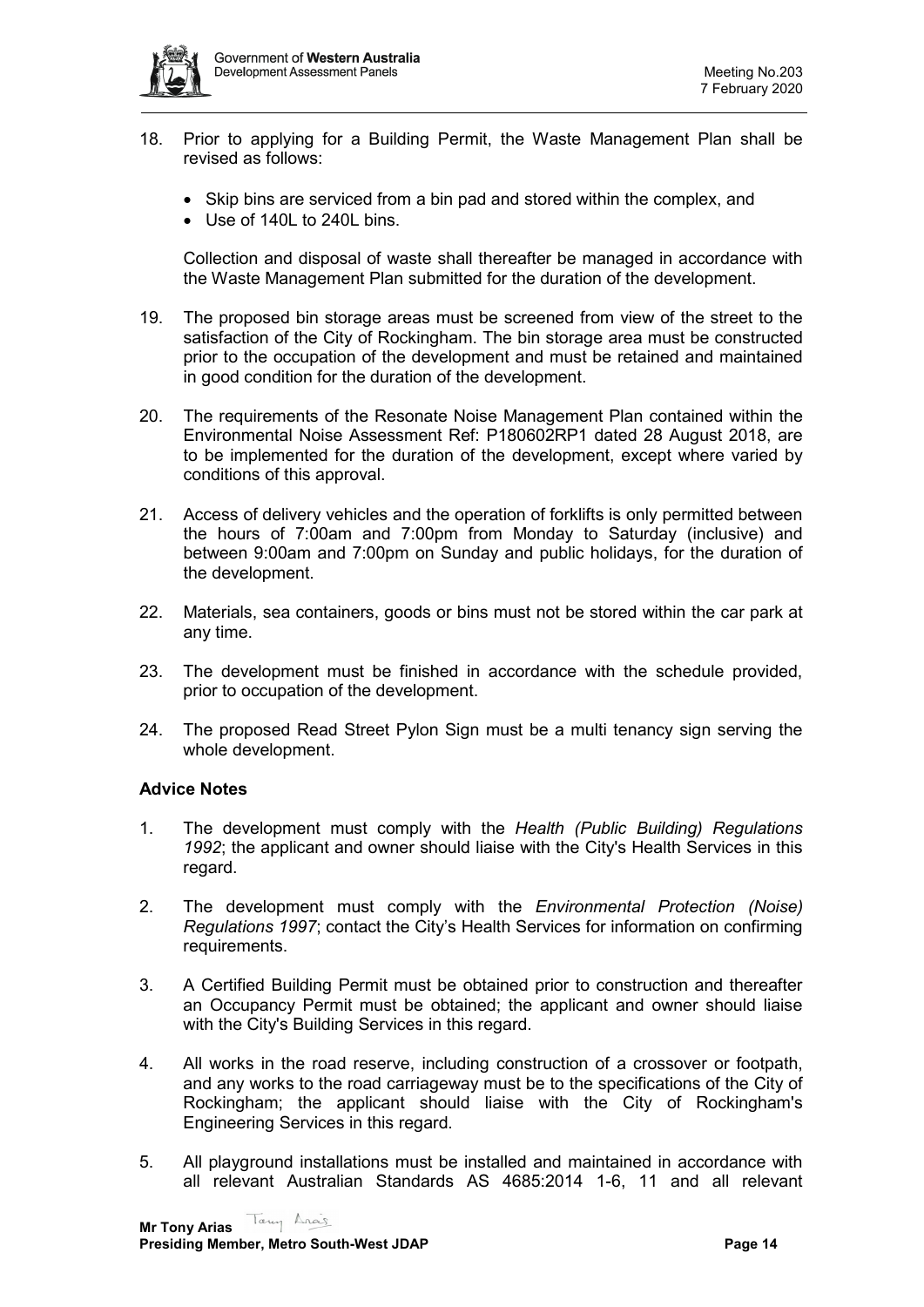- 18. Prior to applying for a Building Permit, the Waste Management Plan shall be revised as follows:
	- Skip bins are serviced from a bin pad and stored within the complex, and
	- Use of 140L to 240L bins.

Collection and disposal of waste shall thereafter be managed in accordance with the Waste Management Plan submitted for the duration of the development.

- 19. The proposed bin storage areas must be screened from view of the street to the satisfaction of the City of Rockingham. The bin storage area must be constructed prior to the occupation of the development and must be retained and maintained in good condition for the duration of the development.
- 20. The requirements of the Resonate Noise Management Plan contained within the Environmental Noise Assessment Ref: P180602RP1 dated 28 August 2018, are to be implemented for the duration of the development, except where varied by conditions of this approval.
- 21. Access of delivery vehicles and the operation of forklifts is only permitted between the hours of 7:00am and 7:00pm from Monday to Saturday (inclusive) and between 9:00am and 7:00pm on Sunday and public holidays, for the duration of the development.
- 22. Materials, sea containers, goods or bins must not be stored within the car park at any time.
- 23. The development must be finished in accordance with the schedule provided, prior to occupation of the development.
- 24. The proposed Read Street Pylon Sign must be a multi tenancy sign serving the whole development.

# **Advice Notes**

- 1. The development must comply with the *Health (Public Building) Regulations 1992*; the applicant and owner should liaise with the City's Health Services in this regard.
- 2. The development must comply with the *Environmental Protection (Noise) Regulations 1997*; contact the City's Health Services for information on confirming requirements.
- 3. A Certified Building Permit must be obtained prior to construction and thereafter an Occupancy Permit must be obtained; the applicant and owner should liaise with the City's Building Services in this regard.
- 4. All works in the road reserve, including construction of a crossover or footpath, and any works to the road carriageway must be to the specifications of the City of Rockingham; the applicant should liaise with the City of Rockingham's Engineering Services in this regard.
- 5. All playground installations must be installed and maintained in accordance with all relevant Australian Standards AS 4685:2014 1-6, 11 and all relevant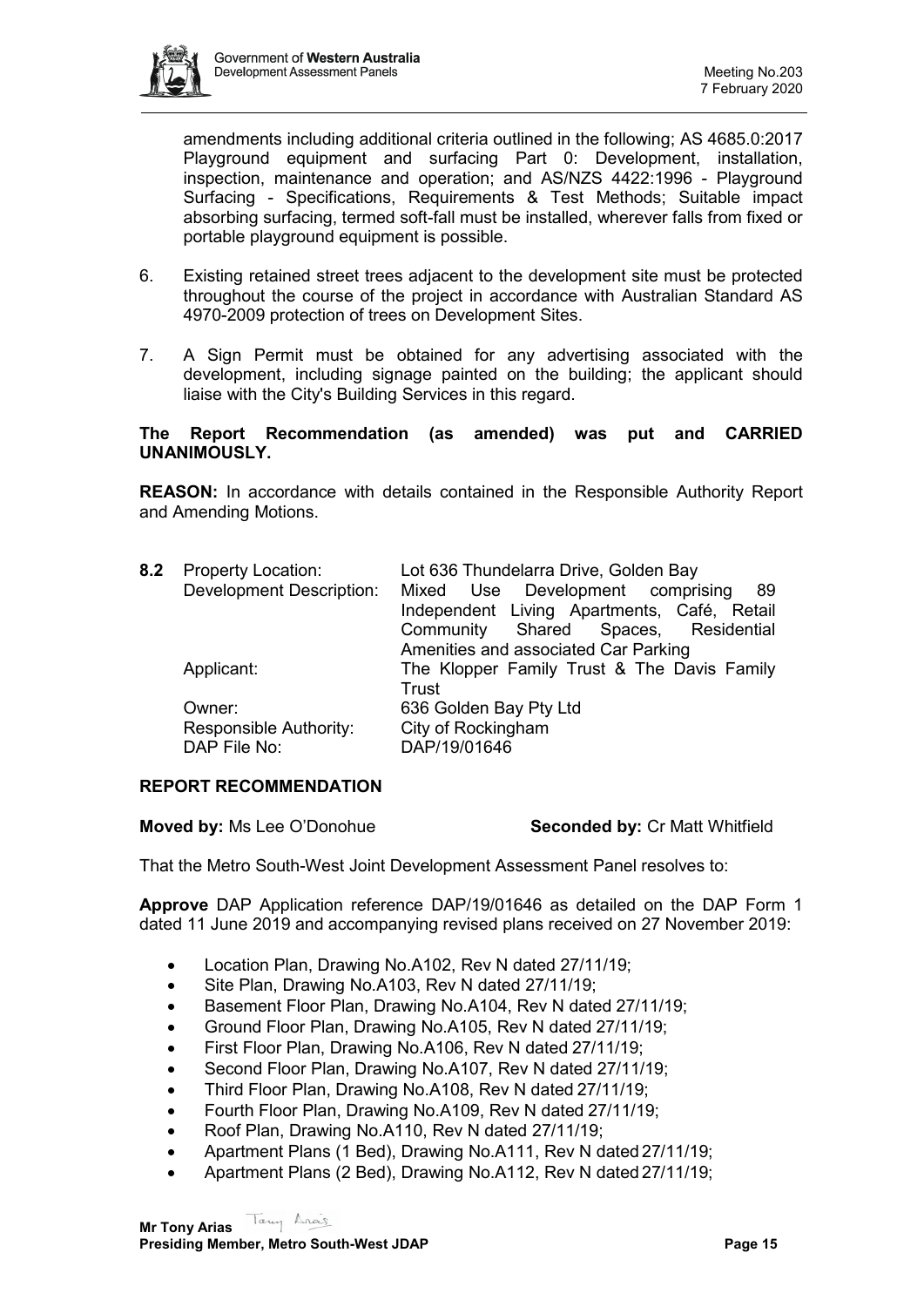

amendments including additional criteria outlined in the following; AS 4685.0:2017 Playground equipment and surfacing Part 0: Development, installation, inspection, maintenance and operation; and AS/NZS 4422:1996 - Playground Surfacing - Specifications, Requirements & Test Methods; Suitable impact absorbing surfacing, termed soft-fall must be installed, wherever falls from fixed or portable playground equipment is possible.

- 6. Existing retained street trees adjacent to the development site must be protected throughout the course of the project in accordance with Australian Standard AS 4970-2009 protection of trees on Development Sites.
- 7. A Sign Permit must be obtained for any advertising associated with the development, including signage painted on the building; the applicant should liaise with the City's Building Services in this regard.

### **The Report Recommendation (as amended) was put and CARRIED UNANIMOUSLY.**

**REASON:** In accordance with details contained in the Responsible Authority Report and Amending Motions.

| 8.2 | <b>Property Location:</b>       | Lot 636 Thundelarra Drive, Golden Bay       |  |
|-----|---------------------------------|---------------------------------------------|--|
|     | <b>Development Description:</b> | Mixed Use Development comprising<br>-89     |  |
|     |                                 | Independent Living Apartments, Café, Retail |  |
|     |                                 | Community Shared Spaces, Residential        |  |
|     |                                 | Amenities and associated Car Parking        |  |
|     | Applicant:                      | The Klopper Family Trust & The Davis Family |  |
|     |                                 | Trust                                       |  |
|     | Owner:                          | 636 Golden Bay Pty Ltd                      |  |
|     | Responsible Authority:          | City of Rockingham                          |  |
|     | DAP File No:                    | DAP/19/01646                                |  |
|     |                                 |                                             |  |

# **REPORT RECOMMENDATION**

**Moved by:** Ms Lee O'Donohue **Seconded by:** Cr Matt Whitfield

That the Metro South-West Joint Development Assessment Panel resolves to:

**Approve** DAP Application reference DAP/19/01646 as detailed on the DAP Form 1 dated 11 June 2019 and accompanying revised plans received on 27 November 2019:

- Location Plan, Drawing No.A102, Rev N dated 27/11/19;
- Site Plan, Drawing No.A103, Rev N dated 27/11/19;
- Basement Floor Plan, Drawing No.A104, Rev N dated 27/11/19;
- Ground Floor Plan, Drawing No.A105, Rev N dated 27/11/19;
- First Floor Plan, Drawing No.A106, Rev N dated 27/11/19;
- Second Floor Plan, Drawing No.A107, Rev N dated 27/11/19;
- Third Floor Plan, Drawing No.A108, Rev N dated 27/11/19;
- Fourth Floor Plan, Drawing No.A109, Rev N dated 27/11/19;
- Roof Plan, Drawing No.A110, Rev N dated 27/11/19;
- Apartment Plans (1 Bed), Drawing No.A111, Rev N dated 27/11/19;
- Apartment Plans (2 Bed), Drawing No.A112, Rev N dated 27/11/19;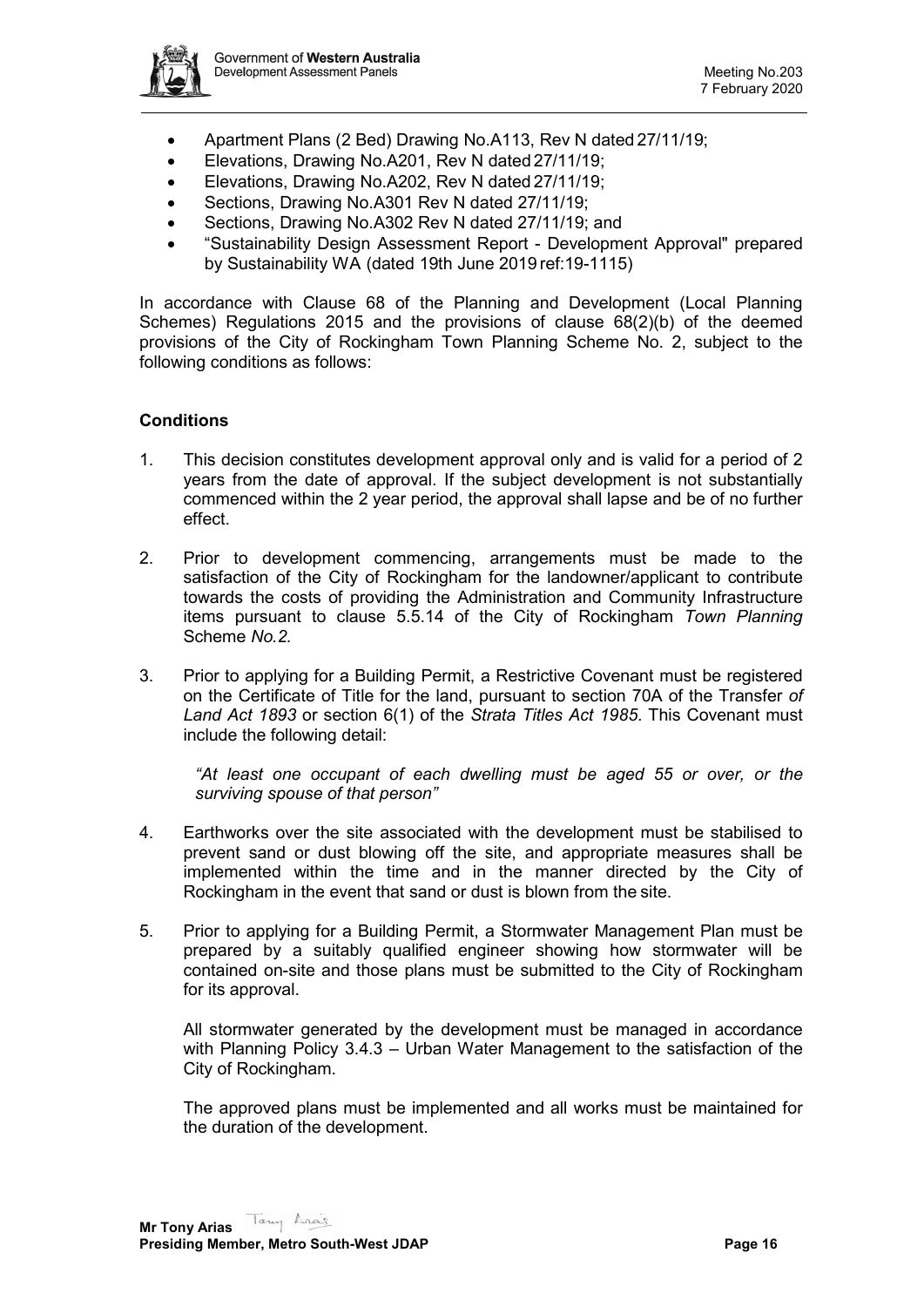

- Apartment Plans (2 Bed) Drawing No.A113, Rev N dated 27/11/19;
- Elevations, Drawing No.A201, Rev N dated 27/11/19;
- Elevations, Drawing No.A202, Rev N dated 27/11/19;
- Sections, Drawing No.A301 Rev N dated 27/11/19;
- Sections, Drawing No.A302 Rev N dated 27/11/19; and
- "Sustainability Design Assessment Report Development Approval" prepared by Sustainability WA (dated 19th June 2019 ref:19-1115)

In accordance with Clause 68 of the Planning and Development (Local Planning Schemes) Regulations 2015 and the provisions of clause 68(2)(b) of the deemed provisions of the City of Rockingham Town Planning Scheme No. 2, subject to the following conditions as follows:

### **Conditions**

- 1. This decision constitutes development approval only and is valid for a period of 2 years from the date of approval. If the subject development is not substantially commenced within the 2 year period, the approval shall lapse and be of no further effect.
- 2. Prior to development commencing, arrangements must be made to the satisfaction of the City of Rockingham for the landowner/applicant to contribute towards the costs of providing the Administration and Community Infrastructure items pursuant to clause 5.5.14 of the City of Rockingham *Town Planning*  Scheme *No.2.*
- 3. Prior to applying for a Building Permit, a Restrictive Covenant must be registered on the Certificate of Title for the land, pursuant to section 70A of the Transfer *of Land Act 1893* or section 6(1) of the *Strata Titles Act 1985*. This Covenant must include the following detail:

*"At least one occupant of each dwelling must be aged 55 or over, or the surviving spouse of that person"*

- 4. Earthworks over the site associated with the development must be stabilised to prevent sand or dust blowing off the site, and appropriate measures shall be implemented within the time and in the manner directed by the City of Rockingham in the event that sand or dust is blown from the site.
- 5. Prior to applying for a Building Permit, a Stormwater Management Plan must be prepared by a suitably qualified engineer showing how stormwater will be contained on-site and those plans must be submitted to the City of Rockingham for its approval.

All stormwater generated by the development must be managed in accordance with Planning Policy 3.4.3 – Urban Water Management to the satisfaction of the City of Rockingham.

The approved plans must be implemented and all works must be maintained for the duration of the development.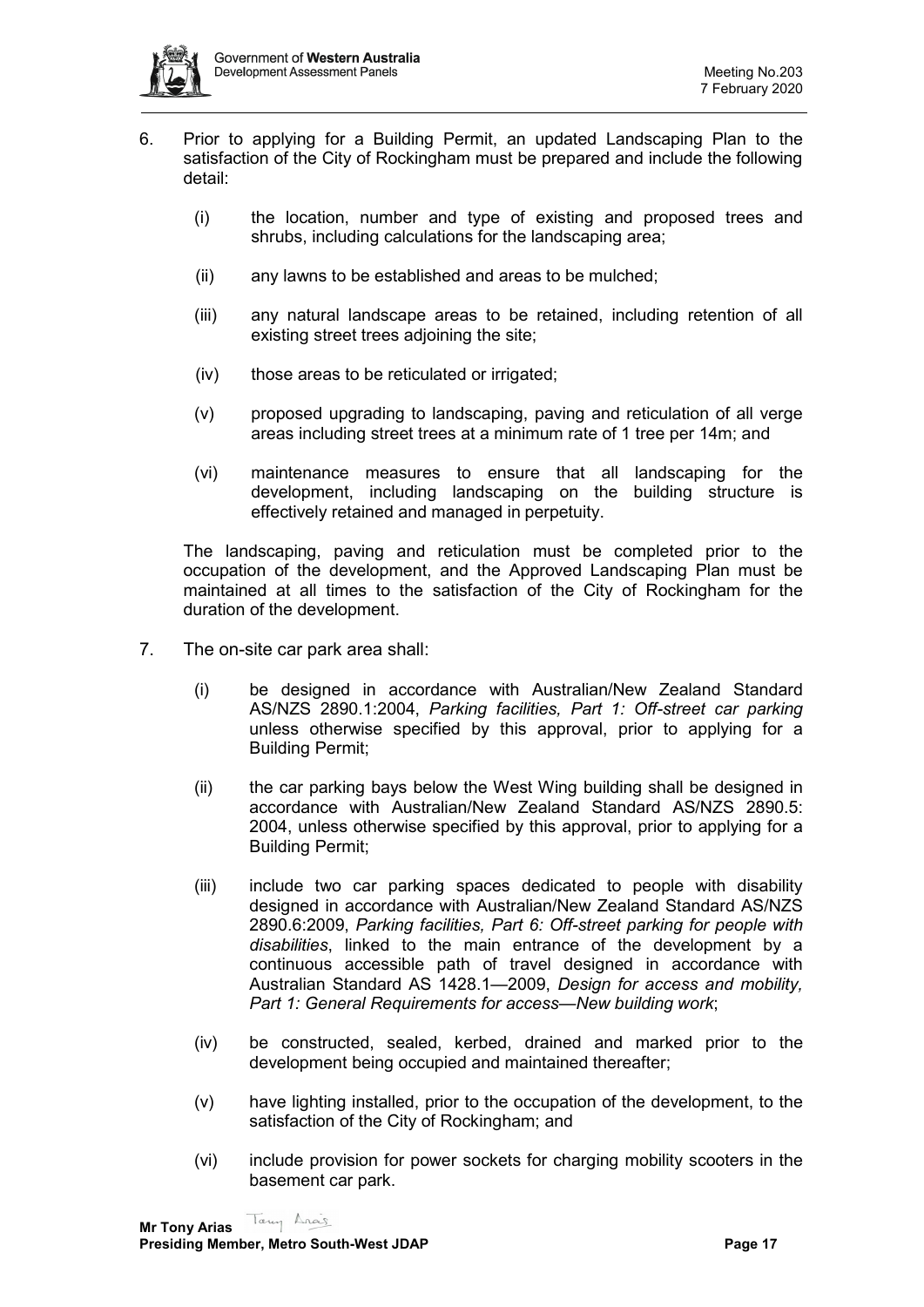

- 6. Prior to applying for a Building Permit, an updated Landscaping Plan to the satisfaction of the City of Rockingham must be prepared and include the following detail:
	- (i) the location, number and type of existing and proposed trees and shrubs, including calculations for the landscaping area;
	- (ii) any lawns to be established and areas to be mulched;
	- (iii) any natural landscape areas to be retained, including retention of all existing street trees adjoining the site;
	- (iv) those areas to be reticulated or irrigated;
	- (v) proposed upgrading to landscaping, paving and reticulation of all verge areas including street trees at a minimum rate of 1 tree per 14m; and
	- (vi) maintenance measures to ensure that all landscaping for the development, including landscaping on the building structure is effectively retained and managed in perpetuity.

The landscaping, paving and reticulation must be completed prior to the occupation of the development, and the Approved Landscaping Plan must be maintained at all times to the satisfaction of the City of Rockingham for the duration of the development.

- 7. The on-site car park area shall:
	- (i) be designed in accordance with Australian/New Zealand Standard AS/NZS 2890.1:2004, *Parking facilities, Part 1: Off-street car parking*  unless otherwise specified by this approval, prior to applying for a Building Permit;
	- (ii) the car parking bays below the West Wing building shall be designed in accordance with Australian/New Zealand Standard AS/NZS 2890.5: 2004, unless otherwise specified by this approval, prior to applying for a Building Permit;
	- (iii) include two car parking spaces dedicated to people with disability designed in accordance with Australian/New Zealand Standard AS/NZS 2890.6:2009, *Parking facilities, Part 6: Off-street parking for people with disabilities*, linked to the main entrance of the development by a continuous accessible path of travel designed in accordance with Australian Standard AS 1428.1—2009, *Design for access and mobility, Part 1: General Requirements for access—New building work*;
	- (iv) be constructed, sealed, kerbed, drained and marked prior to the development being occupied and maintained thereafter;
	- (v) have lighting installed, prior to the occupation of the development, to the satisfaction of the City of Rockingham; and
	- (vi) include provision for power sockets for charging mobility scooters in the basement car park.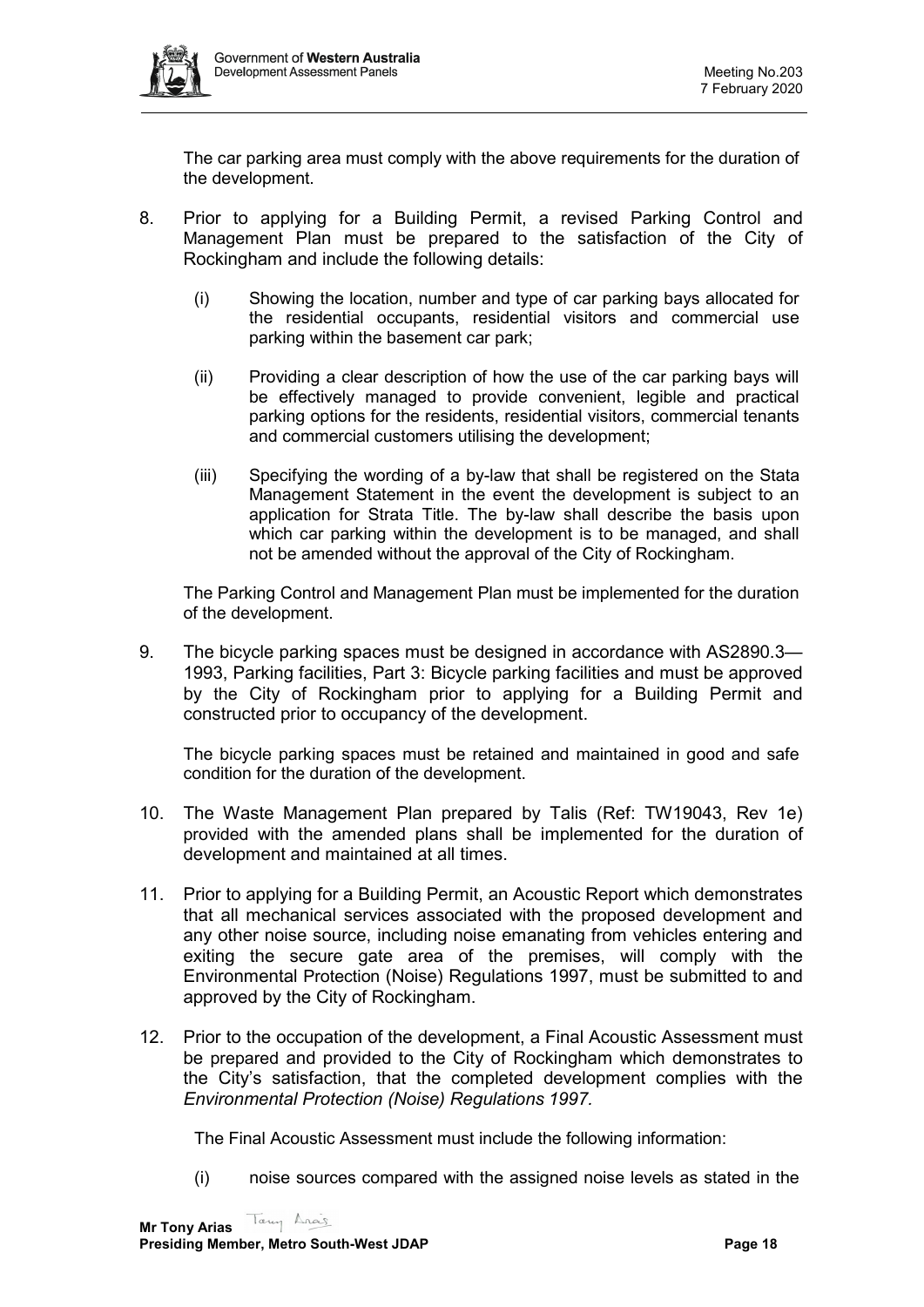

The car parking area must comply with the above requirements for the duration of the development.

- 8. Prior to applying for a Building Permit, a revised Parking Control and Management Plan must be prepared to the satisfaction of the City of Rockingham and include the following details:
	- (i) Showing the location, number and type of car parking bays allocated for the residential occupants, residential visitors and commercial use parking within the basement car park;
	- (ii) Providing a clear description of how the use of the car parking bays will be effectively managed to provide convenient, legible and practical parking options for the residents, residential visitors, commercial tenants and commercial customers utilising the development;
	- (iii) Specifying the wording of a by-law that shall be registered on the Stata Management Statement in the event the development is subject to an application for Strata Title. The by-law shall describe the basis upon which car parking within the development is to be managed, and shall not be amended without the approval of the City of Rockingham.

The Parking Control and Management Plan must be implemented for the duration of the development.

9. The bicycle parking spaces must be designed in accordance with AS2890.3— 1993, Parking facilities, Part 3: Bicycle parking facilities and must be approved by the City of Rockingham prior to applying for a Building Permit and constructed prior to occupancy of the development.

The bicycle parking spaces must be retained and maintained in good and safe condition for the duration of the development.

- 10. The Waste Management Plan prepared by Talis (Ref: TW19043, Rev 1e) provided with the amended plans shall be implemented for the duration of development and maintained at all times.
- 11. Prior to applying for a Building Permit, an Acoustic Report which demonstrates that all mechanical services associated with the proposed development and any other noise source, including noise emanating from vehicles entering and exiting the secure gate area of the premises, will comply with the Environmental Protection (Noise) Regulations 1997, must be submitted to and approved by the City of Rockingham.
- 12. Prior to the occupation of the development, a Final Acoustic Assessment must be prepared and provided to the City of Rockingham which demonstrates to the City's satisfaction, that the completed development complies with the *Environmental Protection (Noise) Regulations 1997.*

The Final Acoustic Assessment must include the following information:

(i) noise sources compared with the assigned noise levels as stated in the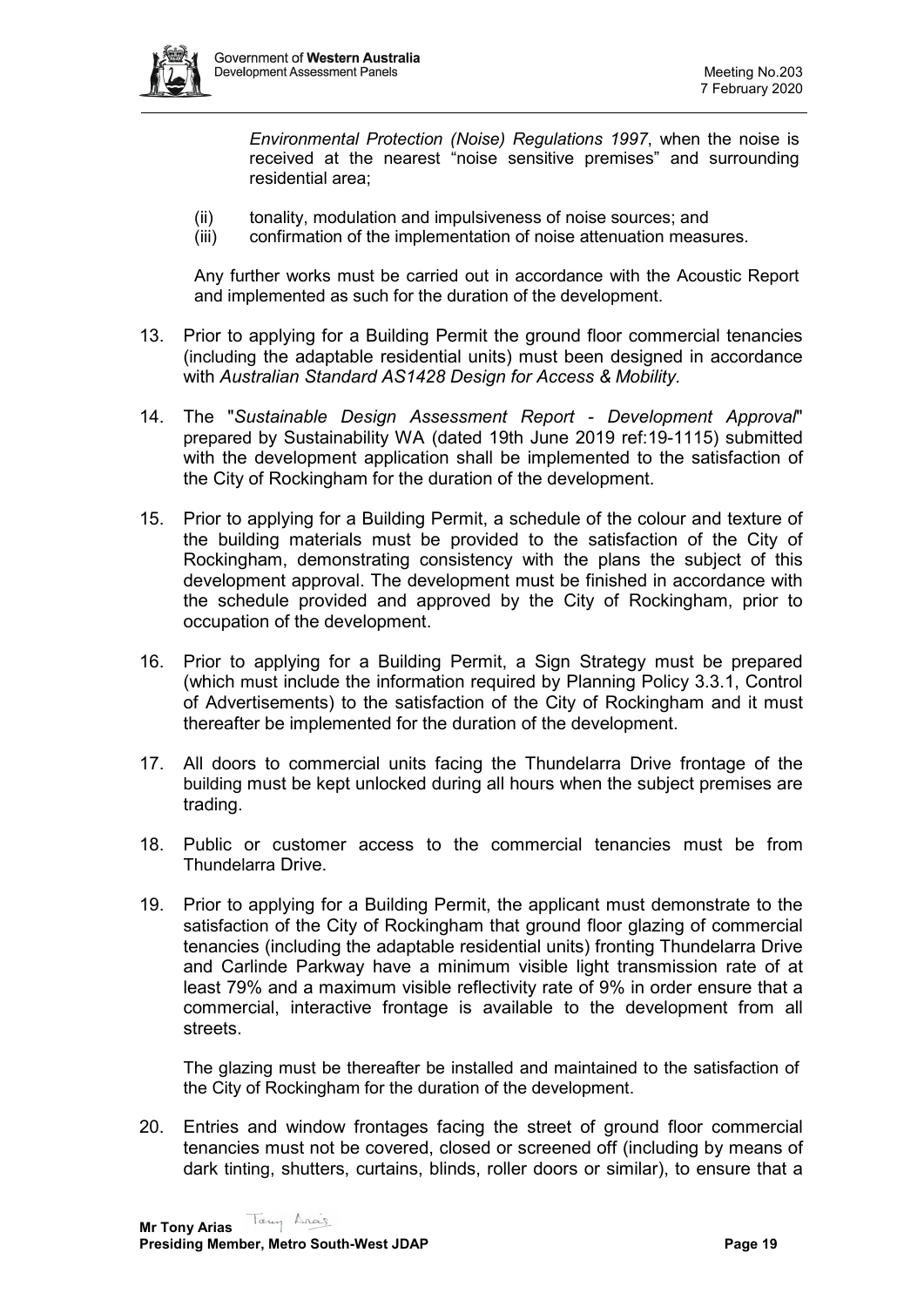

*Environmental Protection (Noise) Regulations 1997*, when the noise is received at the nearest "noise sensitive premises" and surrounding residential area;

- (ii) tonality, modulation and impulsiveness of noise sources; and
- (iii) confirmation of the implementation of noise attenuation measures.

Any further works must be carried out in accordance with the Acoustic Report and implemented as such for the duration of the development.

- 13. Prior to applying for a Building Permit the ground floor commercial tenancies (including the adaptable residential units) must been designed in accordance with *Australian Standard AS1428 Design for Access & Mobility.*
- 14. The "*Sustainable Design Assessment Report - Development Approval*" prepared by Sustainability WA (dated 19th June 2019 ref:19-1115) submitted with the development application shall be implemented to the satisfaction of the City of Rockingham for the duration of the development.
- 15. Prior to applying for a Building Permit, a schedule of the colour and texture of the building materials must be provided to the satisfaction of the City of Rockingham, demonstrating consistency with the plans the subject of this development approval. The development must be finished in accordance with the schedule provided and approved by the City of Rockingham, prior to occupation of the development.
- 16. Prior to applying for a Building Permit, a Sign Strategy must be prepared (which must include the information required by Planning Policy 3.3.1, Control of Advertisements) to the satisfaction of the City of Rockingham and it must thereafter be implemented for the duration of the development.
- 17. All doors to commercial units facing the Thundelarra Drive frontage of the building must be kept unlocked during all hours when the subject premises are trading.
- 18. Public or customer access to the commercial tenancies must be from Thundelarra Drive.
- 19. Prior to applying for a Building Permit, the applicant must demonstrate to the satisfaction of the City of Rockingham that ground floor glazing of commercial tenancies (including the adaptable residential units) fronting Thundelarra Drive and Carlinde Parkway have a minimum visible light transmission rate of at least 79% and a maximum visible reflectivity rate of 9% in order ensure that a commercial, interactive frontage is available to the development from all streets.

The glazing must be thereafter be installed and maintained to the satisfaction of the City of Rockingham for the duration of the development.

20. Entries and window frontages facing the street of ground floor commercial tenancies must not be covered, closed or screened off (including by means of dark tinting, shutters, curtains, blinds, roller doors or similar), to ensure that a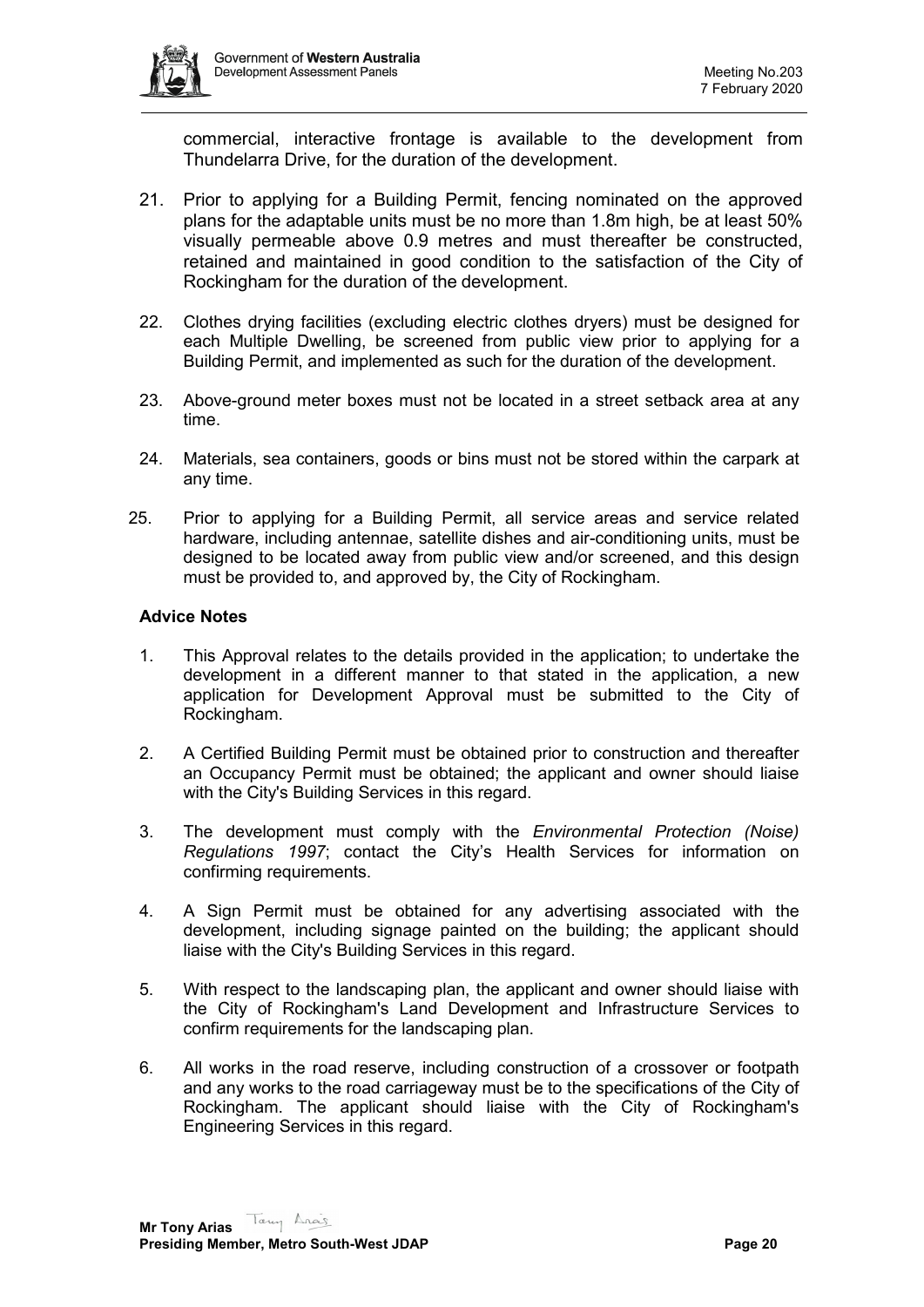

commercial, interactive frontage is available to the development from Thundelarra Drive, for the duration of the development.

- 21. Prior to applying for a Building Permit, fencing nominated on the approved plans for the adaptable units must be no more than 1.8m high, be at least 50% visually permeable above 0.9 metres and must thereafter be constructed, retained and maintained in good condition to the satisfaction of the City of Rockingham for the duration of the development.
- 22. Clothes drying facilities (excluding electric clothes dryers) must be designed for each Multiple Dwelling, be screened from public view prior to applying for a Building Permit, and implemented as such for the duration of the development.
- 23. Above-ground meter boxes must not be located in a street setback area at any time.
- 24. Materials, sea containers, goods or bins must not be stored within the carpark at any time.
- 25. Prior to applying for a Building Permit, all service areas and service related hardware, including antennae, satellite dishes and air-conditioning units, must be designed to be located away from public view and/or screened, and this design must be provided to, and approved by, the City of Rockingham.

### **Advice Notes**

- 1. This Approval relates to the details provided in the application; to undertake the development in a different manner to that stated in the application, a new application for Development Approval must be submitted to the City of Rockingham.
- 2. A Certified Building Permit must be obtained prior to construction and thereafter an Occupancy Permit must be obtained; the applicant and owner should liaise with the City's Building Services in this regard.
- 3. The development must comply with the *Environmental Protection (Noise) Regulations 1997*; contact the City's Health Services for information on confirming requirements.
- 4. A Sign Permit must be obtained for any advertising associated with the development, including signage painted on the building; the applicant should liaise with the City's Building Services in this regard.
- 5. With respect to the landscaping plan, the applicant and owner should liaise with the City of Rockingham's Land Development and Infrastructure Services to confirm requirements for the landscaping plan.
- 6. All works in the road reserve, including construction of a crossover or footpath and any works to the road carriageway must be to the specifications of the City of Rockingham. The applicant should liaise with the City of Rockingham's Engineering Services in this regard.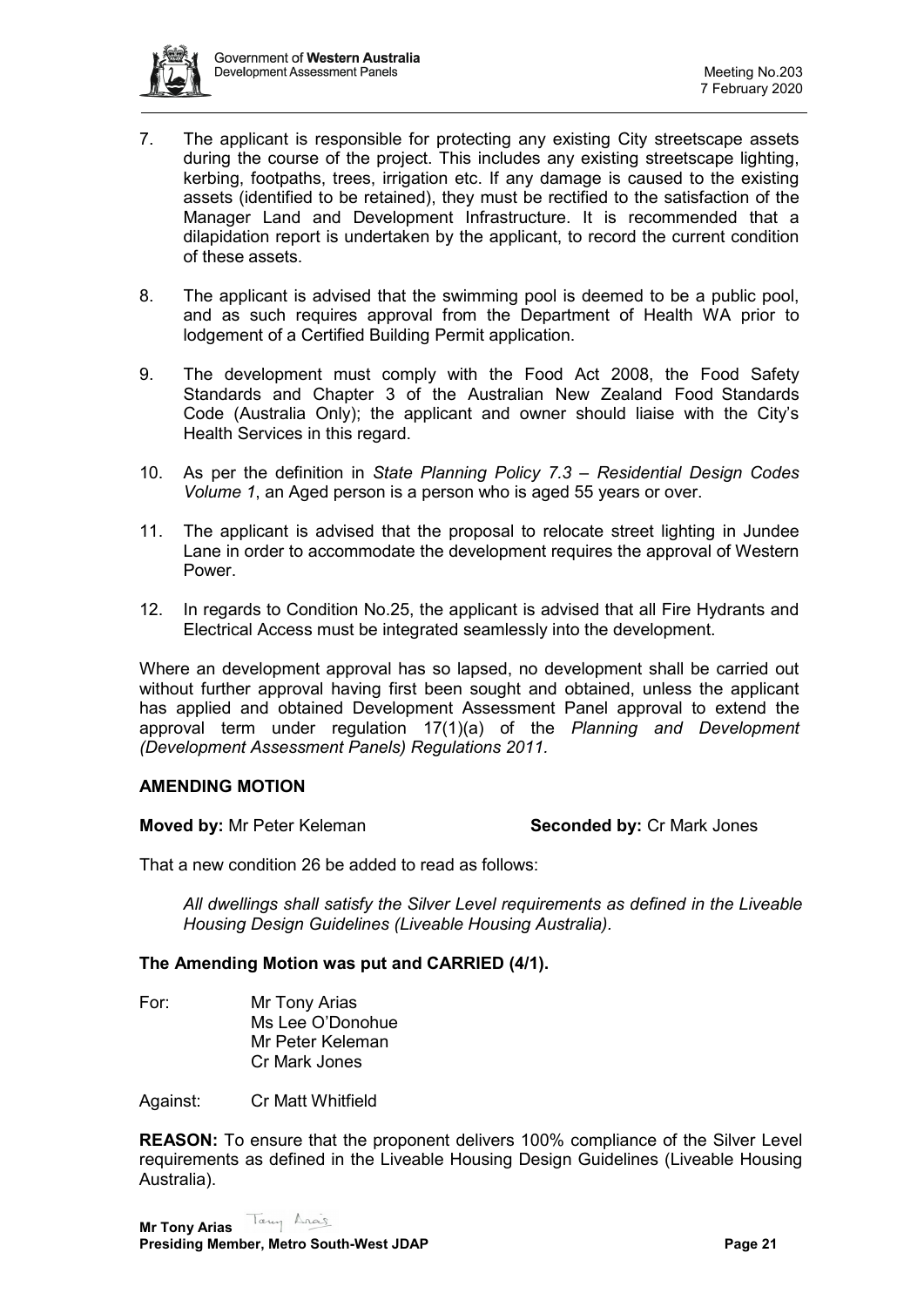

- 7. The applicant is responsible for protecting any existing City streetscape assets during the course of the project. This includes any existing streetscape lighting, kerbing, footpaths, trees, irrigation etc. If any damage is caused to the existing assets (identified to be retained), they must be rectified to the satisfaction of the Manager Land and Development Infrastructure. It is recommended that a dilapidation report is undertaken by the applicant, to record the current condition of these assets.
- 8. The applicant is advised that the swimming pool is deemed to be a public pool, and as such requires approval from the Department of Health WA prior to lodgement of a Certified Building Permit application.
- 9. The development must comply with the Food Act 2008, the Food Safety Standards and Chapter 3 of the Australian New Zealand Food Standards Code (Australia Only); the applicant and owner should liaise with the City's Health Services in this regard.
- 10. As per the definition in *State Planning Policy 7.3 – Residential Design Codes Volume 1*, an Aged person is a person who is aged 55 years or over.
- 11. The applicant is advised that the proposal to relocate street lighting in Jundee Lane in order to accommodate the development requires the approval of Western Power.
- 12. In regards to Condition No.25, the applicant is advised that all Fire Hydrants and Electrical Access must be integrated seamlessly into the development.

Where an development approval has so lapsed, no development shall be carried out without further approval having first been sought and obtained, unless the applicant has applied and obtained Development Assessment Panel approval to extend the approval term under regulation 17(1)(a) of the *Planning and Development (Development Assessment Panels) Regulations 2011.*

# **AMENDING MOTION**

### **Moved by:** Mr Peter Keleman **Seconded by:** Cr Mark Jones

That a new condition 26 be added to read as follows:

*All dwellings shall satisfy the Silver Level requirements as defined in the Liveable Housing Design Guidelines (Liveable Housing Australia).*

### **The Amending Motion was put and CARRIED (4/1).**

For: Mr Tony Arias Ms Lee O'Donohue Mr Peter Keleman Cr Mark Jones

Against: Cr Matt Whitfield

**REASON:** To ensure that the proponent delivers 100% compliance of the Silver Level requirements as defined in the Liveable Housing Design Guidelines (Liveable Housing Australia).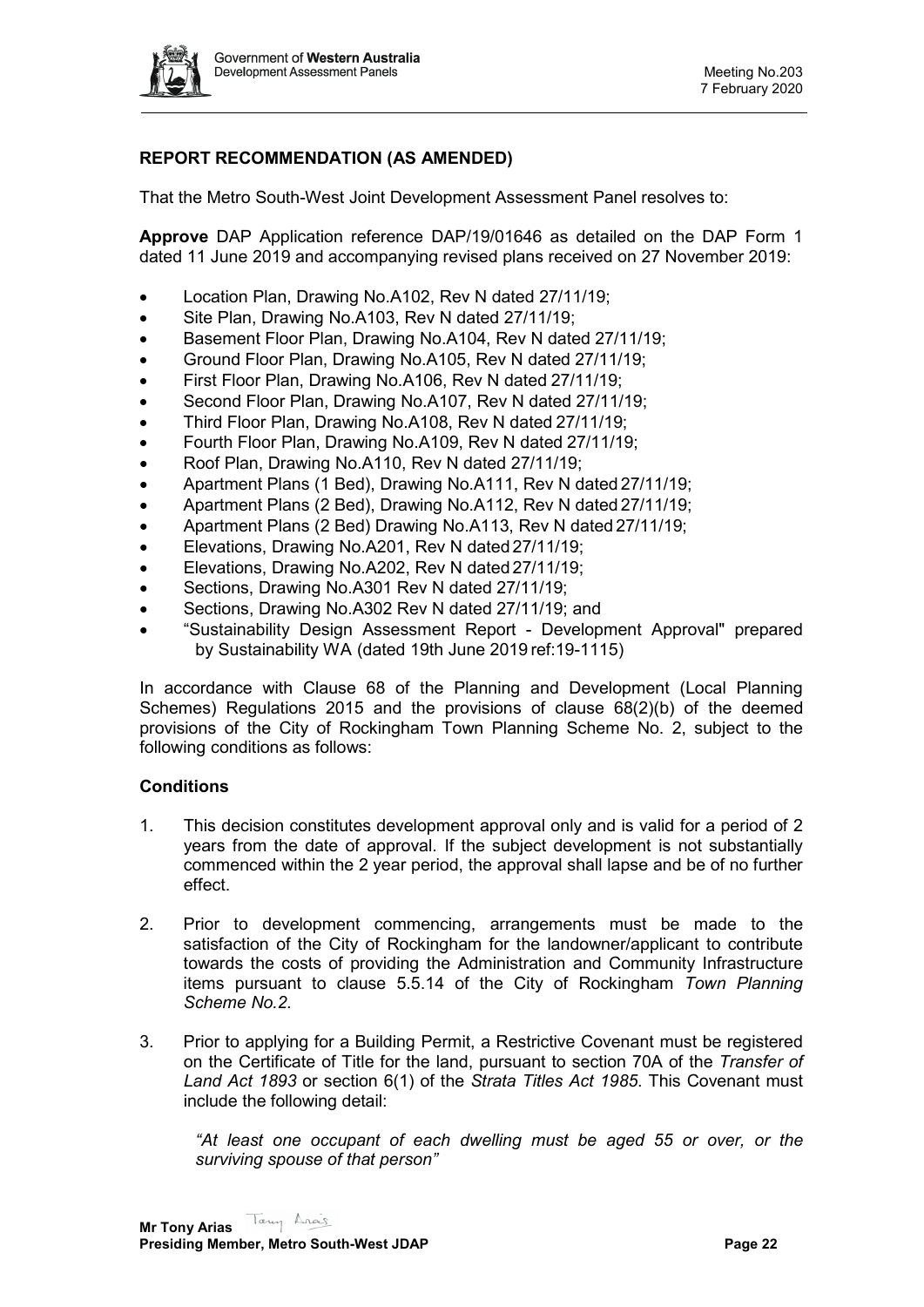

# **REPORT RECOMMENDATION (AS AMENDED)**

That the Metro South-West Joint Development Assessment Panel resolves to:

**Approve** DAP Application reference DAP/19/01646 as detailed on the DAP Form 1 dated 11 June 2019 and accompanying revised plans received on 27 November 2019:

- Location Plan, Drawing No.A102, Rev N dated 27/11/19;
- Site Plan, Drawing No.A103, Rev N dated 27/11/19;
- Basement Floor Plan, Drawing No.A104, Rev N dated 27/11/19;
- Ground Floor Plan, Drawing No.A105, Rev N dated 27/11/19;
- First Floor Plan, Drawing No.A106, Rev N dated 27/11/19;
- Second Floor Plan, Drawing No.A107, Rev N dated 27/11/19;
- Third Floor Plan, Drawing No.A108, Rev N dated 27/11/19;
- Fourth Floor Plan, Drawing No.A109, Rev N dated 27/11/19;
- Roof Plan, Drawing No.A110, Rev N dated 27/11/19;
- Apartment Plans (1 Bed), Drawing No.A111, Rev N dated 27/11/19;
- Apartment Plans (2 Bed), Drawing No.A112, Rev N dated 27/11/19;
- Apartment Plans (2 Bed) Drawing No.A113, Rev N dated 27/11/19;
- Elevations, Drawing No.A201, Rev N dated 27/11/19;
- Elevations, Drawing No.A202, Rev N dated 27/11/19;
- Sections, Drawing No.A301 Rev N dated 27/11/19;
- Sections, Drawing No.A302 Rev N dated 27/11/19; and
- "Sustainability Design Assessment Report Development Approval" prepared by Sustainability WA (dated 19th June 2019 ref:19-1115)

In accordance with Clause 68 of the Planning and Development (Local Planning Schemes) Regulations 2015 and the provisions of clause 68(2)(b) of the deemed provisions of the City of Rockingham Town Planning Scheme No. 2, subject to the following conditions as follows:

### **Conditions**

- 1. This decision constitutes development approval only and is valid for a period of 2 years from the date of approval. If the subject development is not substantially commenced within the 2 year period, the approval shall lapse and be of no further effect.
- 2. Prior to development commencing, arrangements must be made to the satisfaction of the City of Rockingham for the landowner/applicant to contribute towards the costs of providing the Administration and Community Infrastructure items pursuant to clause 5.5.14 of the City of Rockingham *Town Planning Scheme No.2.*
- 3. Prior to applying for a Building Permit, a Restrictive Covenant must be registered on the Certificate of Title for the land, pursuant to section 70A of the *Transfer of Land Act 1893* or section 6(1) of the *Strata Titles Act 1985*. This Covenant must include the following detail:

*"At least one occupant of each dwelling must be aged 55 or over, or the surviving spouse of that person"*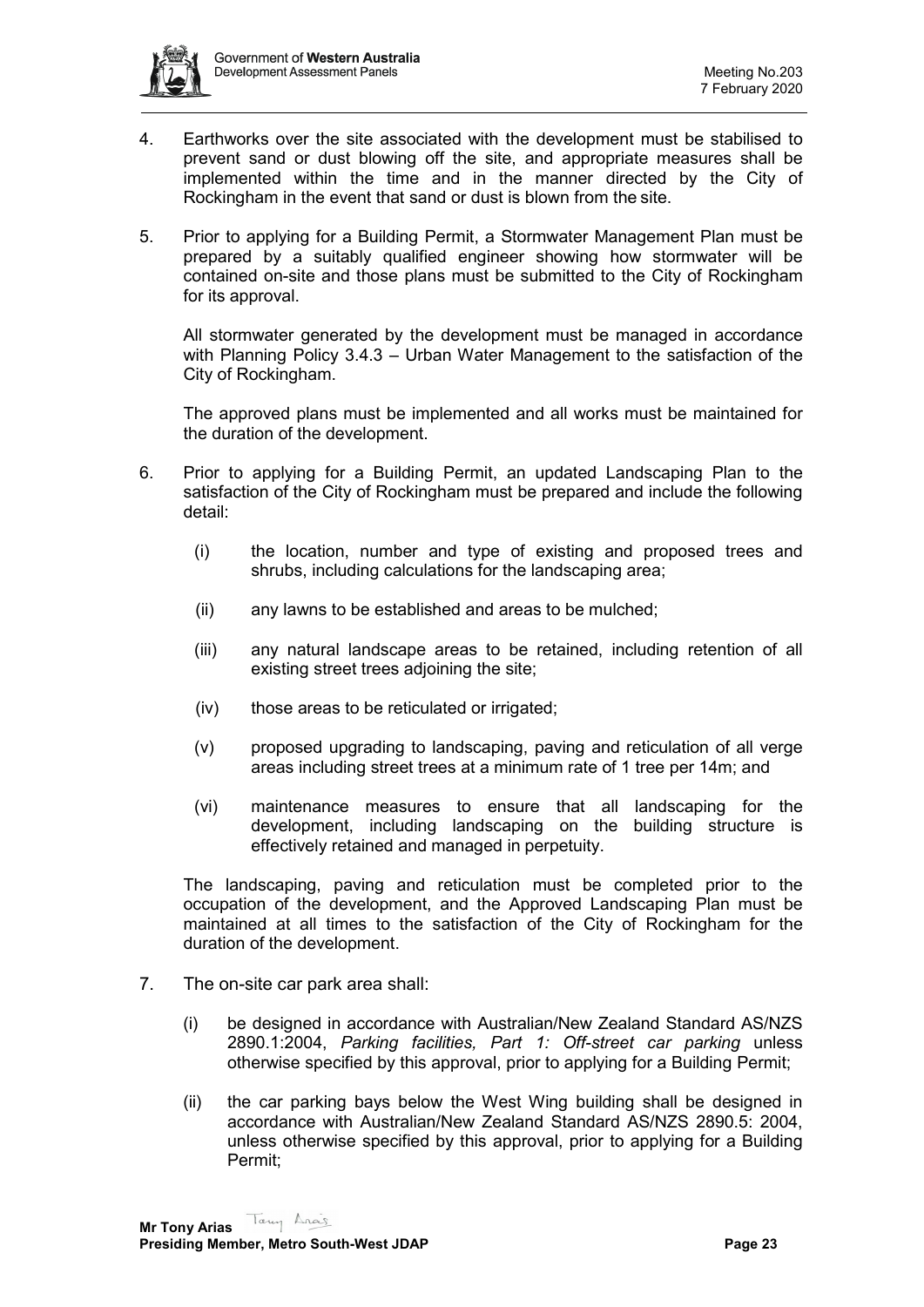

- 4. Earthworks over the site associated with the development must be stabilised to prevent sand or dust blowing off the site, and appropriate measures shall be implemented within the time and in the manner directed by the City of Rockingham in the event that sand or dust is blown from the site.
- 5. Prior to applying for a Building Permit, a Stormwater Management Plan must be prepared by a suitably qualified engineer showing how stormwater will be contained on-site and those plans must be submitted to the City of Rockingham for its approval.

All stormwater generated by the development must be managed in accordance with Planning Policy 3.4.3 – Urban Water Management to the satisfaction of the City of Rockingham.

The approved plans must be implemented and all works must be maintained for the duration of the development.

- 6. Prior to applying for a Building Permit, an updated Landscaping Plan to the satisfaction of the City of Rockingham must be prepared and include the following detail:
	- (i) the location, number and type of existing and proposed trees and shrubs, including calculations for the landscaping area;
	- (ii) any lawns to be established and areas to be mulched;
	- (iii) any natural landscape areas to be retained, including retention of all existing street trees adjoining the site;
	- (iv) those areas to be reticulated or irrigated;
	- (v) proposed upgrading to landscaping, paving and reticulation of all verge areas including street trees at a minimum rate of 1 tree per 14m; and
	- (vi) maintenance measures to ensure that all landscaping for the development, including landscaping on the building structure is effectively retained and managed in perpetuity.

The landscaping, paving and reticulation must be completed prior to the occupation of the development, and the Approved Landscaping Plan must be maintained at all times to the satisfaction of the City of Rockingham for the duration of the development.

- 7. The on-site car park area shall:
	- (i) be designed in accordance with Australian/New Zealand Standard AS/NZS 2890.1:2004, *Parking facilities, Part 1: Off-street car parking* unless otherwise specified by this approval, prior to applying for a Building Permit;
	- (ii) the car parking bays below the West Wing building shall be designed in accordance with Australian/New Zealand Standard AS/NZS 2890.5: 2004, unless otherwise specified by this approval, prior to applying for a Building Permit;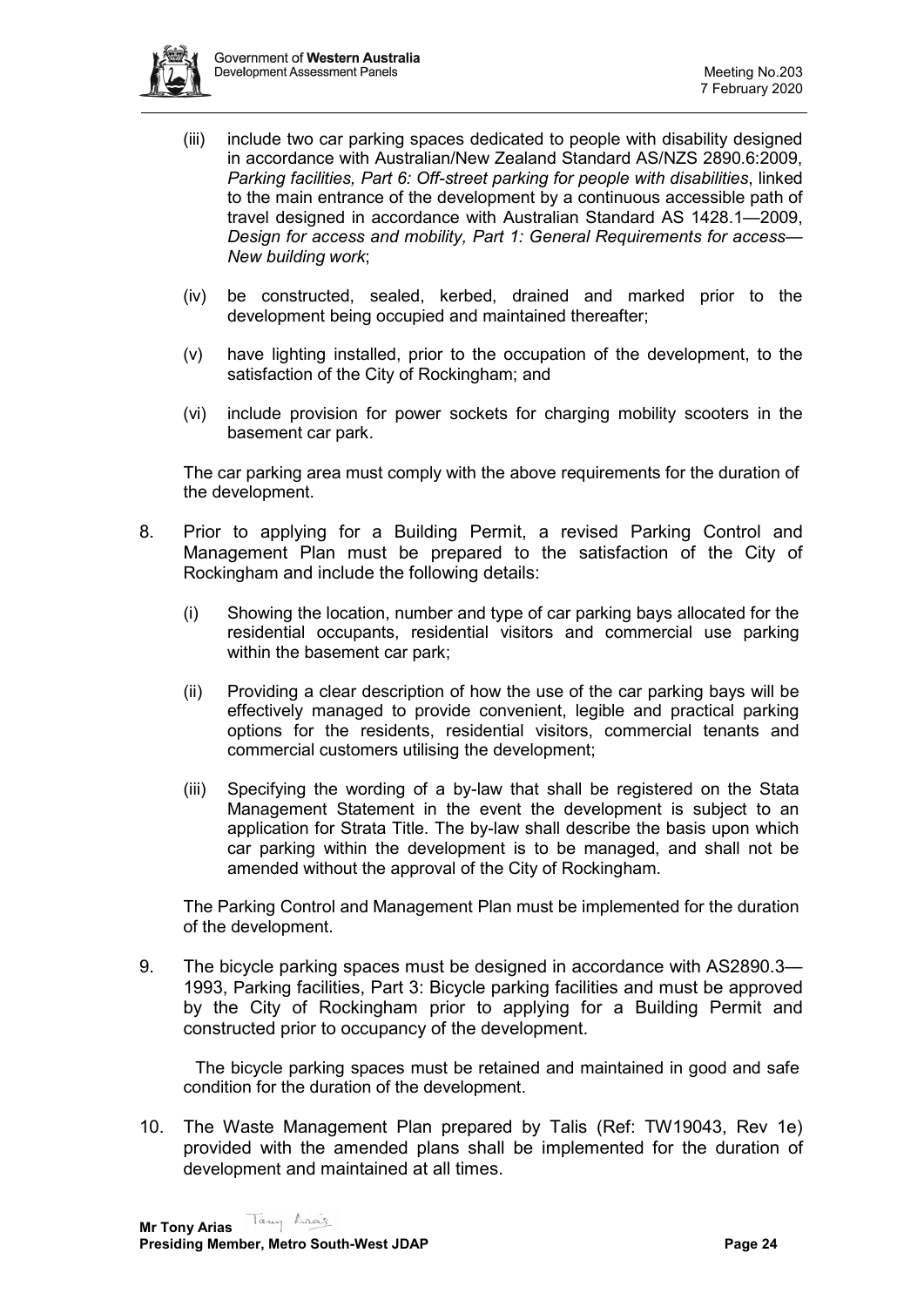

- (iii) include two car parking spaces dedicated to people with disability designed in accordance with Australian/New Zealand Standard AS/NZS 2890.6:2009, *Parking facilities, Part 6: Off-street parking for people with disabilities*, linked to the main entrance of the development by a continuous accessible path of travel designed in accordance with Australian Standard AS 1428.1—2009, *Design for access and mobility, Part 1: General Requirements for access— New building work*;
- (iv) be constructed, sealed, kerbed, drained and marked prior to the development being occupied and maintained thereafter;
- (v) have lighting installed, prior to the occupation of the development, to the satisfaction of the City of Rockingham; and
- (vi) include provision for power sockets for charging mobility scooters in the basement car park.

The car parking area must comply with the above requirements for the duration of the development.

- 8. Prior to applying for a Building Permit, a revised Parking Control and Management Plan must be prepared to the satisfaction of the City of Rockingham and include the following details:
	- (i) Showing the location, number and type of car parking bays allocated for the residential occupants, residential visitors and commercial use parking within the basement car park;
	- (ii) Providing a clear description of how the use of the car parking bays will be effectively managed to provide convenient, legible and practical parking options for the residents, residential visitors, commercial tenants and commercial customers utilising the development;
	- (iii) Specifying the wording of a by-law that shall be registered on the Stata Management Statement in the event the development is subject to an application for Strata Title. The by-law shall describe the basis upon which car parking within the development is to be managed, and shall not be amended without the approval of the City of Rockingham.

The Parking Control and Management Plan must be implemented for the duration of the development.

9. The bicycle parking spaces must be designed in accordance with AS2890.3— 1993, Parking facilities, Part 3: Bicycle parking facilities and must be approved by the City of Rockingham prior to applying for a Building Permit and constructed prior to occupancy of the development.

The bicycle parking spaces must be retained and maintained in good and safe condition for the duration of the development.

10. The Waste Management Plan prepared by Talis (Ref: TW19043, Rev 1e) provided with the amended plans shall be implemented for the duration of development and maintained at all times.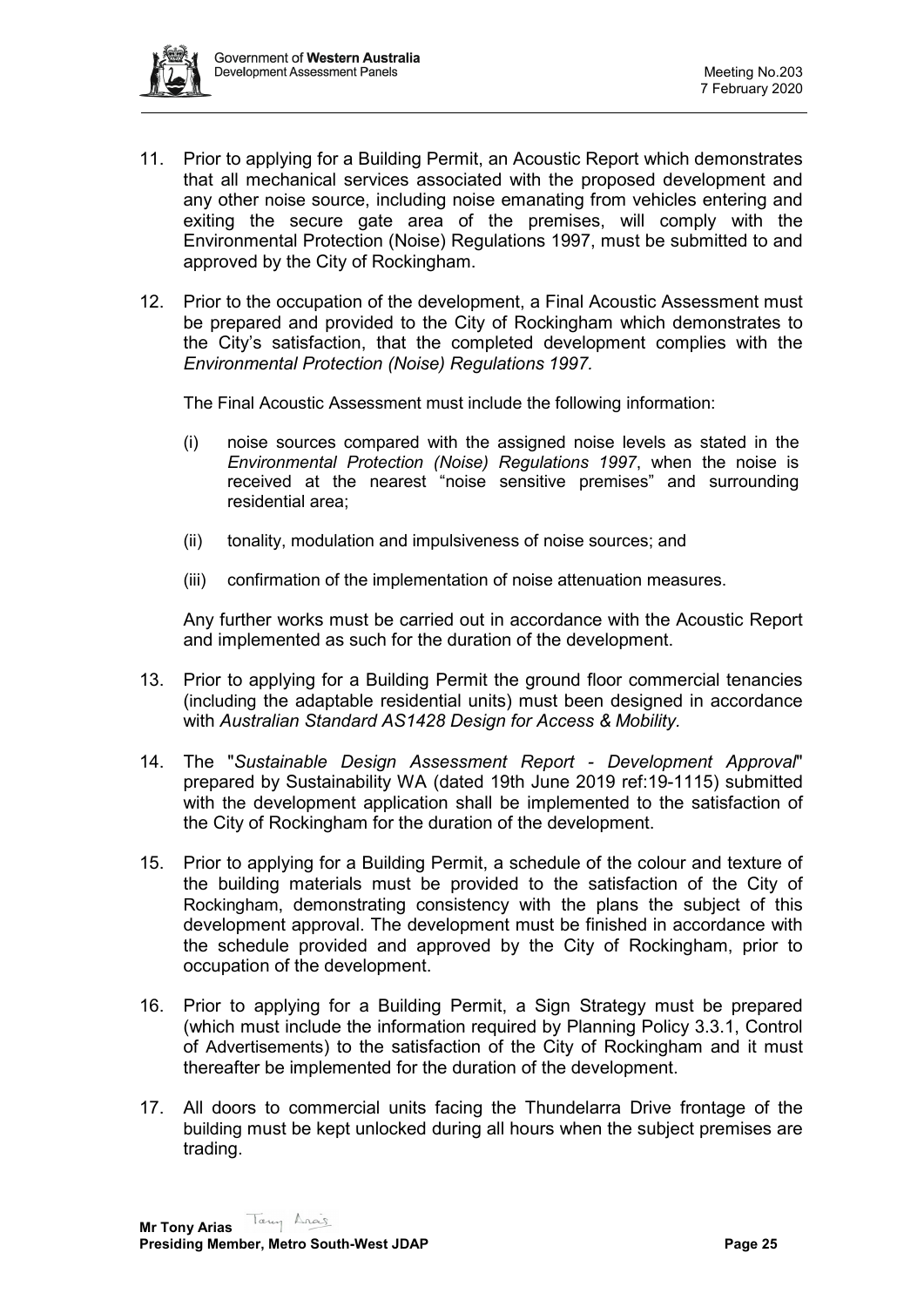

- 11. Prior to applying for a Building Permit, an Acoustic Report which demonstrates that all mechanical services associated with the proposed development and any other noise source, including noise emanating from vehicles entering and exiting the secure gate area of the premises, will comply with the Environmental Protection (Noise) Regulations 1997, must be submitted to and approved by the City of Rockingham.
- 12. Prior to the occupation of the development, a Final Acoustic Assessment must be prepared and provided to the City of Rockingham which demonstrates to the City's satisfaction, that the completed development complies with the *Environmental Protection (Noise) Regulations 1997.*

The Final Acoustic Assessment must include the following information:

- (i) noise sources compared with the assigned noise levels as stated in the *Environmental Protection (Noise) Regulations 1997*, when the noise is received at the nearest "noise sensitive premises" and surrounding residential area;
- (ii) tonality, modulation and impulsiveness of noise sources; and
- (iii) confirmation of the implementation of noise attenuation measures.

Any further works must be carried out in accordance with the Acoustic Report and implemented as such for the duration of the development.

- 13. Prior to applying for a Building Permit the ground floor commercial tenancies (including the adaptable residential units) must been designed in accordance with *Australian Standard AS1428 Design for Access & Mobility.*
- 14. The "*Sustainable Design Assessment Report - Development Approval*" prepared by Sustainability WA (dated 19th June 2019 ref:19-1115) submitted with the development application shall be implemented to the satisfaction of the City of Rockingham for the duration of the development.
- 15. Prior to applying for a Building Permit, a schedule of the colour and texture of the building materials must be provided to the satisfaction of the City of Rockingham, demonstrating consistency with the plans the subject of this development approval. The development must be finished in accordance with the schedule provided and approved by the City of Rockingham, prior to occupation of the development.
- 16. Prior to applying for a Building Permit, a Sign Strategy must be prepared (which must include the information required by Planning Policy 3.3.1, Control of Advertisements) to the satisfaction of the City of Rockingham and it must thereafter be implemented for the duration of the development.
- 17. All doors to commercial units facing the Thundelarra Drive frontage of the building must be kept unlocked during all hours when the subject premises are trading.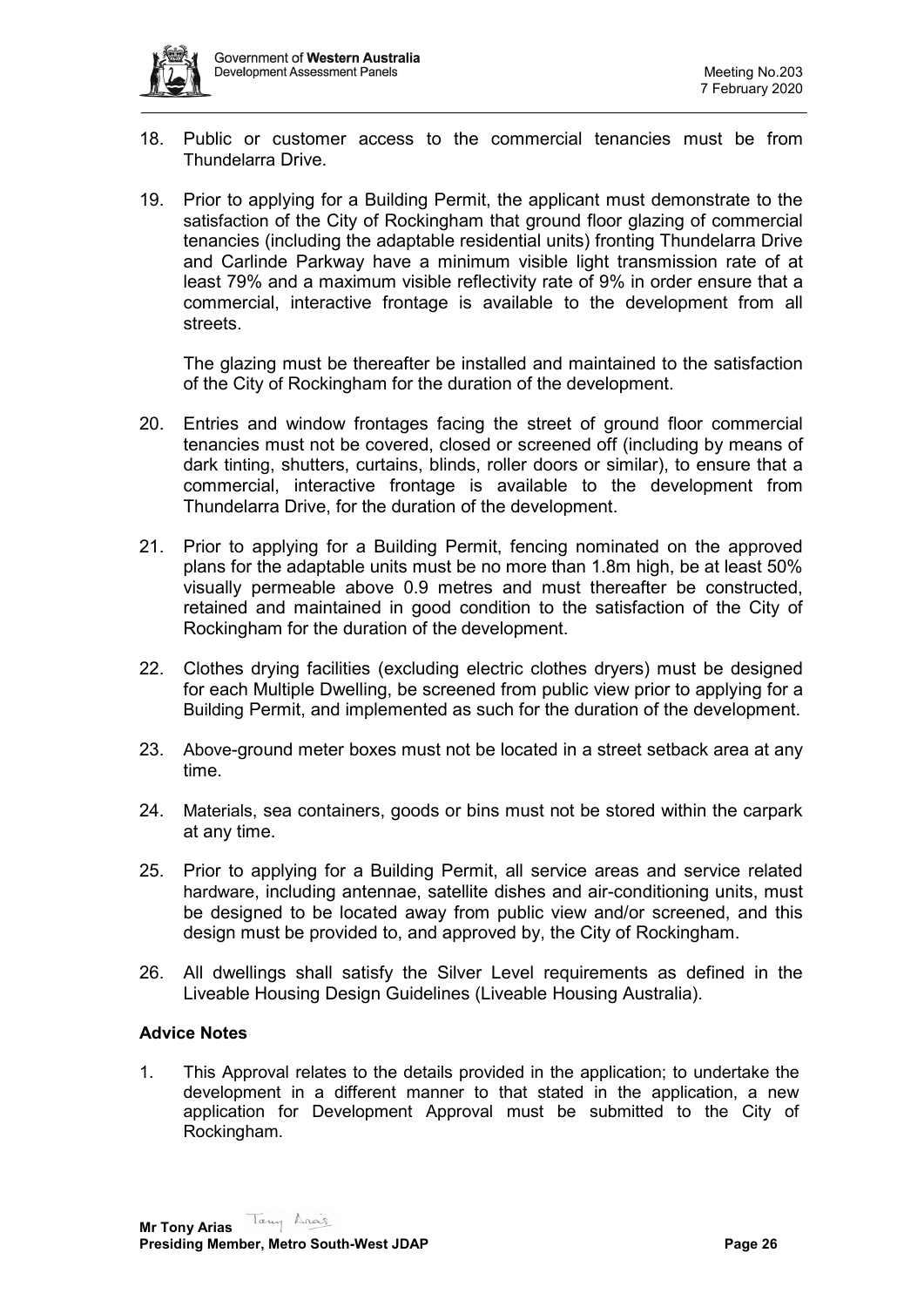- 18. Public or customer access to the commercial tenancies must be from Thundelarra Drive.
- 19. Prior to applying for a Building Permit, the applicant must demonstrate to the satisfaction of the City of Rockingham that ground floor glazing of commercial tenancies (including the adaptable residential units) fronting Thundelarra Drive and Carlinde Parkway have a minimum visible light transmission rate of at least 79% and a maximum visible reflectivity rate of 9% in order ensure that a commercial, interactive frontage is available to the development from all streets.

The glazing must be thereafter be installed and maintained to the satisfaction of the City of Rockingham for the duration of the development.

- 20. Entries and window frontages facing the street of ground floor commercial tenancies must not be covered, closed or screened off (including by means of dark tinting, shutters, curtains, blinds, roller doors or similar), to ensure that a commercial, interactive frontage is available to the development from Thundelarra Drive, for the duration of the development.
- 21. Prior to applying for a Building Permit, fencing nominated on the approved plans for the adaptable units must be no more than 1.8m high, be at least 50% visually permeable above 0.9 metres and must thereafter be constructed, retained and maintained in good condition to the satisfaction of the City of Rockingham for the duration of the development.
- 22. Clothes drying facilities (excluding electric clothes dryers) must be designed for each Multiple Dwelling, be screened from public view prior to applying for a Building Permit, and implemented as such for the duration of the development.
- 23. Above-ground meter boxes must not be located in a street setback area at any time.
- 24. Materials, sea containers, goods or bins must not be stored within the carpark at any time.
- 25. Prior to applying for a Building Permit, all service areas and service related hardware, including antennae, satellite dishes and air-conditioning units, must be designed to be located away from public view and/or screened, and this design must be provided to, and approved by, the City of Rockingham.
- 26. All dwellings shall satisfy the Silver Level requirements as defined in the Liveable Housing Design Guidelines (Liveable Housing Australia).

# **Advice Notes**

1. This Approval relates to the details provided in the application; to undertake the development in a different manner to that stated in the application, a new application for Development Approval must be submitted to the City of Rockingham.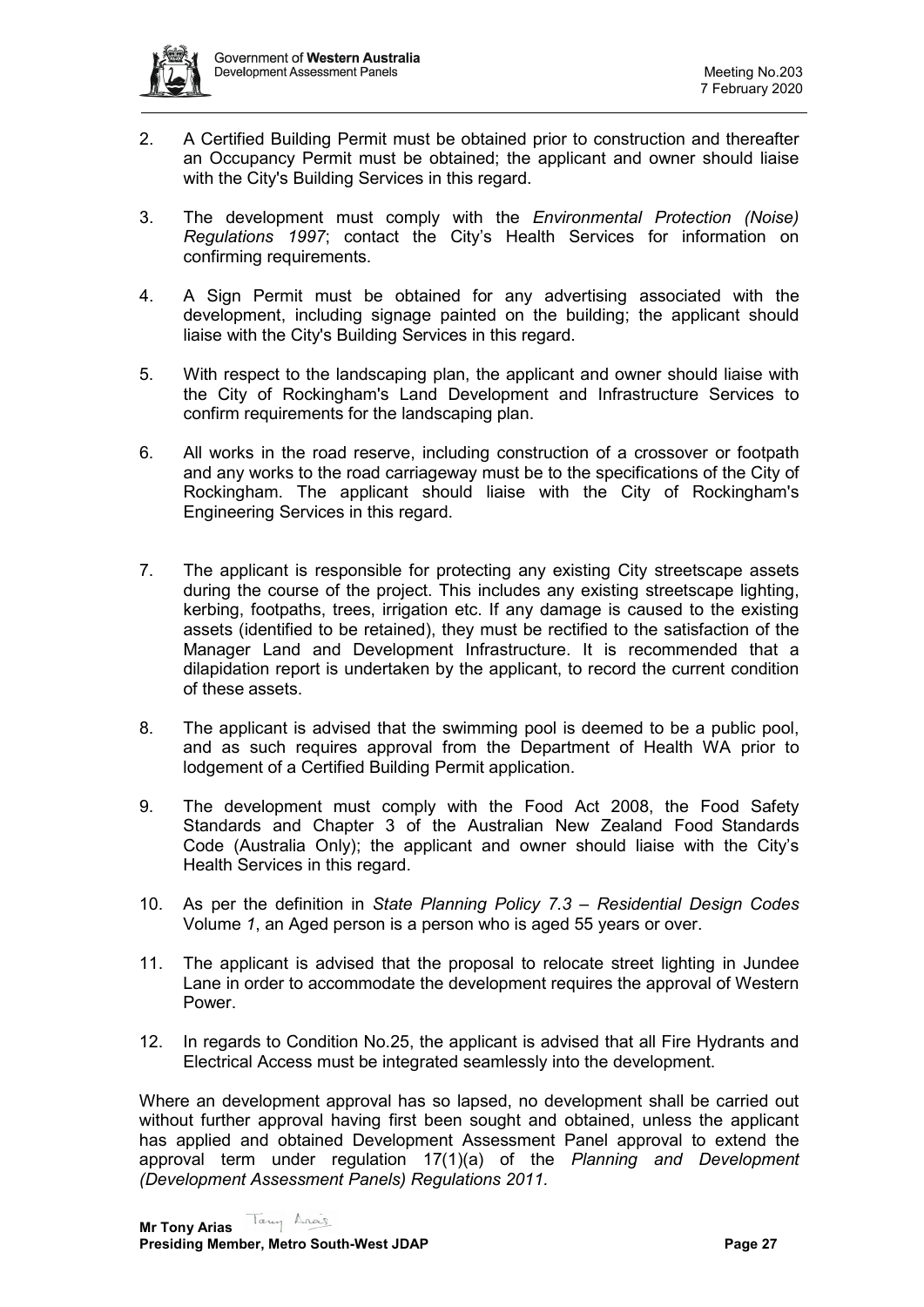

- 2. A Certified Building Permit must be obtained prior to construction and thereafter an Occupancy Permit must be obtained; the applicant and owner should liaise with the City's Building Services in this regard.
- 3. The development must comply with the *Environmental Protection (Noise) Regulations 1997*; contact the City's Health Services for information on confirming requirements.
- 4. A Sign Permit must be obtained for any advertising associated with the development, including signage painted on the building; the applicant should liaise with the City's Building Services in this regard.
- 5. With respect to the landscaping plan, the applicant and owner should liaise with the City of Rockingham's Land Development and Infrastructure Services to confirm requirements for the landscaping plan.
- 6. All works in the road reserve, including construction of a crossover or footpath and any works to the road carriageway must be to the specifications of the City of Rockingham. The applicant should liaise with the City of Rockingham's Engineering Services in this regard.
- 7. The applicant is responsible for protecting any existing City streetscape assets during the course of the project. This includes any existing streetscape lighting, kerbing, footpaths, trees, irrigation etc. If any damage is caused to the existing assets (identified to be retained), they must be rectified to the satisfaction of the Manager Land and Development Infrastructure. It is recommended that a dilapidation report is undertaken by the applicant, to record the current condition of these assets.
- 8. The applicant is advised that the swimming pool is deemed to be a public pool, and as such requires approval from the Department of Health WA prior to lodgement of a Certified Building Permit application.
- 9. The development must comply with the Food Act 2008, the Food Safety Standards and Chapter 3 of the Australian New Zealand Food Standards Code (Australia Only); the applicant and owner should liaise with the City's Health Services in this regard.
- 10. As per the definition in *State Planning Policy 7.3 – Residential Design Codes*  Volume *1*, an Aged person is a person who is aged 55 years or over.
- 11. The applicant is advised that the proposal to relocate street lighting in Jundee Lane in order to accommodate the development requires the approval of Western Power.
- 12. In regards to Condition No.25, the applicant is advised that all Fire Hydrants and Electrical Access must be integrated seamlessly into the development.

Where an development approval has so lapsed, no development shall be carried out without further approval having first been sought and obtained, unless the applicant has applied and obtained Development Assessment Panel approval to extend the approval term under regulation 17(1)(a) of the *Planning and Development (Development Assessment Panels) Regulations 2011.*